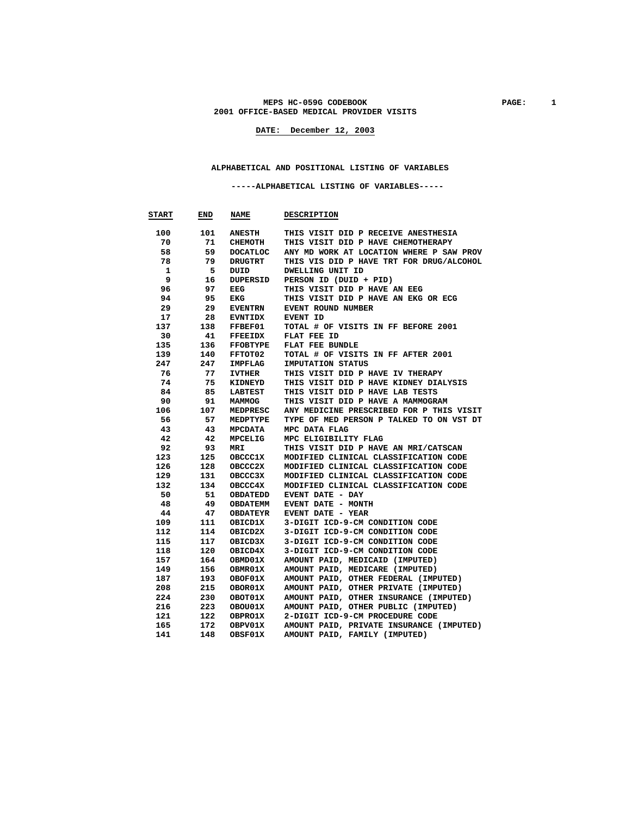#### MEPS HC-059G CODEBOOK **PAGE:** 1  **2001 OFFICE-BASED MEDICAL PROVIDER VISITS**

**DATE: December 12, 2003**

#### **ALPHABETICAL AND POSITIONAL LISTING OF VARIABLES**

 **-----ALPHABETICAL LISTING OF VARIABLES-----** 

| <b>START</b> | END | <b>NAME</b>     | <b>DESCRIPTION</b>                       |
|--------------|-----|-----------------|------------------------------------------|
| 100          | 101 | <b>ANESTH</b>   | THIS VISIT DID P RECEIVE ANESTHESIA      |
| 70           | 71  | CHEMOTH         | THIS VISIT DID P HAVE CHEMOTHERAPY       |
| 58           | 59  | DOCATLOC        | ANY MD WORK AT LOCATION WHERE P SAW PROV |
| 78           | 79  | DRUGTRT         | THIS VIS DID P HAVE TRT FOR DRUG/ALCOHOL |
| 1            | 5   | DUID            | DWELLING UNIT ID                         |
| 9            | 16  | DUPERSID        | PERSON ID (DUID + PID)                   |
| 96           | 97  | EEG             | THIS VISIT DID P HAVE AN EEG             |
| 94           | 95  | EKG             | THIS VISIT DID P HAVE AN EKG OR ECG      |
| 29           | 29  | <b>EVENTRN</b>  | EVENT ROUND NUMBER                       |
| 17           | 28  | <b>EVNTIDX</b>  | EVENT ID                                 |
| 137          | 138 | FFBEF01         | TOTAL # OF VISITS IN FF BEFORE 2001      |
| 30           | 41  | <b>FFEEIDX</b>  | FLAT FEE ID                              |
| 135          | 136 | <b>FFOBTYPE</b> | FLAT FEE BUNDLE                          |
| 139          | 140 | FFTOT02         | TOTAL # OF VISITS IN FF AFTER 2001       |
| 247          | 247 | IMPFLAG         | IMPUTATION STATUS                        |
| 76           | 77  | IVTHER          | THIS VISIT DID P HAVE IV THERAPY         |
| 74           | 75  | KIDNEYD         | THIS VISIT DID P HAVE KIDNEY DIALYSIS    |
| 84           | 85  | LABTEST         | THIS VISIT DID P HAVE LAB TESTS          |
| 90           | 91  | MAMMOG          | THIS VISIT DID P HAVE A MAMMOGRAM        |
| 106          | 107 | MEDPRESC        | ANY MEDICINE PRESCRIBED FOR P THIS VISIT |
| 56           | 57  | MEDPTYPE        | TYPE OF MED PERSON P TALKED TO ON VST DT |
| 43           | 43  | MPCDATA         | MPC DATA FLAG                            |
| 42           | 42  | MPCELIG         | MPC ELIGIBILITY FLAG                     |
| 92           | 93  | MRI             | THIS VISIT DID P HAVE AN MRI/CATSCAN     |
| 123          | 125 | <b>OBCCC1X</b>  | MODIFIED CLINICAL CLASSIFICATION CODE    |
| 126          | 128 | <b>OBCCC2X</b>  | MODIFIED CLINICAL CLASSIFICATION CODE    |
| 129          | 131 | OBCCC3X         | MODIFIED CLINICAL CLASSIFICATION CODE    |
| 132          | 134 | OBCCC4X         | MODIFIED CLINICAL CLASSIFICATION CODE    |
| 50           | 51  | <b>OBDATEDD</b> | EVENT DATE - DAY                         |
| 48           | 49  | <b>OBDATEMM</b> | EVENT DATE - MONTH                       |
| 44           | 47  | OBDATEYR        | EVENT DATE - YEAR                        |
| 109          | 111 | OBICD1X         | 3-DIGIT ICD-9-CM CONDITION CODE          |
| 112          | 114 | OBICD2X         | 3-DIGIT ICD-9-CM CONDITION CODE          |
| 115          | 117 | OBICD3X         | 3-DIGIT ICD-9-CM CONDITION CODE          |
| 118          | 120 | OBICD4X         | 3-DIGIT ICD-9-CM CONDITION CODE          |
| 157          | 164 | OBMD01X         | AMOUNT PAID, MEDICAID (IMPUTED)          |
| 149          | 156 | OBMR01X         | AMOUNT PAID, MEDICARE (IMPUTED)          |
| 187          | 193 | OBOF01X         | AMOUNT PAID, OTHER FEDERAL (IMPUTED)     |
| 208          | 215 | OBOR01X         | AMOUNT PAID, OTHER PRIVATE (IMPUTED)     |
| 224          | 230 | OBOT01X         | AMOUNT PAID, OTHER INSURANCE (IMPUTED)   |
| 216          | 223 | OBOU01X         | AMOUNT PAID, OTHER PUBLIC (IMPUTED)      |
| 121          | 122 | <b>OBPRO1X</b>  | 2-DIGIT ICD-9-CM PROCEDURE CODE          |
| 165          | 172 | OBPV01X         | AMOUNT PAID, PRIVATE INSURANCE (IMPUTED) |
| 141          | 148 | OBSF01X         | AMOUNT PAID, FAMILY (IMPUTED)            |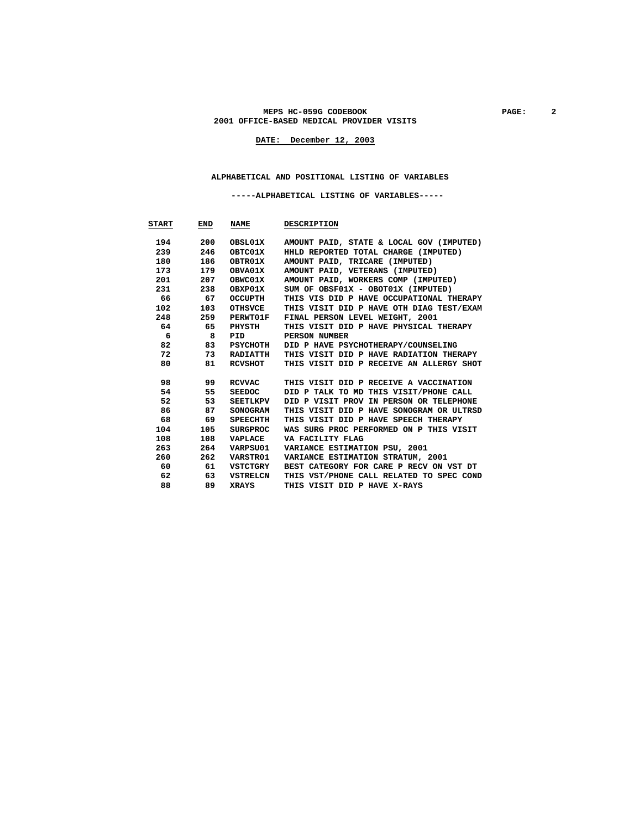#### MEPS HC-059G CODEBOOK PAGE: 2  **2001 OFFICE-BASED MEDICAL PROVIDER VISITS**

**DATE: December 12, 2003**

#### **ALPHABETICAL AND POSITIONAL LISTING OF VARIABLES**

 **-----ALPHABETICAL LISTING OF VARIABLES-----** 

| <b>START</b> | END | NAME            | <b>DESCRIPTION</b>                       |
|--------------|-----|-----------------|------------------------------------------|
|              |     |                 |                                          |
| 194          | 200 | OBSL01X         | AMOUNT PAID, STATE & LOCAL GOV (IMPUTED) |
| 239          | 246 | OBTC01X         | HHLD REPORTED TOTAL CHARGE (IMPUTED)     |
| 180          | 186 | OBTR01X         | AMOUNT PAID, TRICARE (IMPUTED)           |
| 173          | 179 | OBVA01X         | AMOUNT PAID, VETERANS (IMPUTED)          |
| 201          | 207 | OBWC01X         | AMOUNT PAID, WORKERS COMP (IMPUTED)      |
| 231          | 238 | OBXP01X         | SUM OF OBSF01X - OBOT01X (IMPUTED)       |
| 66           | 67  | OCCUPTH         | THIS VIS DID P HAVE OCCUPATIONAL THERAPY |
| 102          | 103 | <b>OTHSVCE</b>  | THIS VISIT DID P HAVE OTH DIAG TEST/EXAM |
| 248          | 259 | <b>PERWT01F</b> | FINAL PERSON LEVEL WEIGHT, 2001          |
| 64           | 65  | PHYSTH          | THIS VISIT DID P HAVE PHYSICAL THERAPY   |
| 6            | 8   | PID             | PERSON NUMBER                            |
| 82           | 83  | PSYCHOTH        | DID P HAVE PSYCHOTHERAPY/COUNSELING      |
| 72           | 73  | <b>RADIATTH</b> | THIS VISIT DID P HAVE RADIATION THERAPY  |
| 80           | 81  | RCVSHOT         | THIS VISIT DID P RECEIVE AN ALLERGY SHOT |
|              |     |                 |                                          |
| 98           | 99  | RCVVAC          | THIS VISIT DID P RECEIVE A VACCINATION   |
| 54           | 55  | SEEDOC          | DID P TALK TO MD THIS VISIT/PHONE CALL   |
| 52           | 53  | SEETLKPV        | DID P VISIT PROV IN PERSON OR TELEPHONE  |
| 86           | 87  | <b>SONOGRAM</b> | THIS VISIT DID P HAVE SONOGRAM OR ULTRSD |
| 68           | 69  | SPEECHTH        | THIS VISIT DID P HAVE SPEECH THERAPY     |
| 104          | 105 | <b>SURGPROC</b> | WAS SURG PROC PERFORMED ON P THIS VISIT  |
| 108          | 108 | VAPLACE         | VA FACILITY FLAG                         |
| 263          | 264 | VARPSU01        | VARIANCE ESTIMATION PSU, 2001            |
| 260          | 262 | VARSTR01        | VARIANCE ESTIMATION STRATUM, 2001        |
| 60           | 61  | VSTCTGRY        | BEST CATEGORY FOR CARE P RECV ON VST DT  |
| 62           | 63  | VSTRELCN        | THIS VST/PHONE CALL RELATED TO SPEC COND |
| 88           | 89  | <b>XRAYS</b>    | THIS VISIT DID P HAVE X-RAYS             |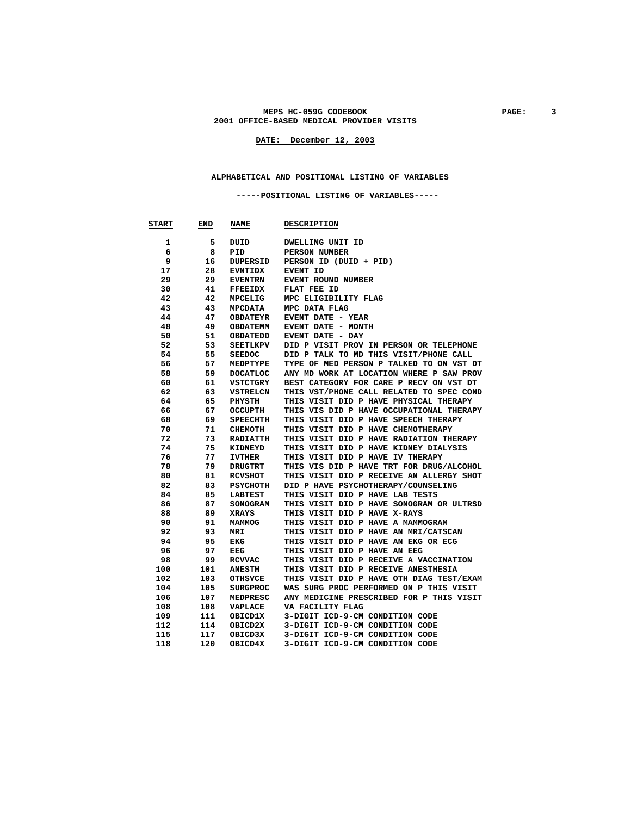#### **MEPS HC-059G CODEBOOK PAGE: 3 2001 OFFICE-BASED MEDICAL PROVIDER VISITS**

**DATE: December 12, 2003**

#### **ALPHABETICAL AND POSITIONAL LISTING OF VARIABLES**

 **-----POSITIONAL LISTING OF VARIABLES-----** 

| <b>START</b> | END | <b>NAME</b>     | <b>DESCRIPTION</b>                       |
|--------------|-----|-----------------|------------------------------------------|
| 1            | 5   | DUID            | DWELLING UNIT ID                         |
| 6            | 8   | PID             | PERSON NUMBER                            |
| 9            | 16  | DUPERSID        | PERSON ID (DUID + PID)                   |
| 17           | 28  | <b>EVNTIDX</b>  | EVENT ID                                 |
| 29           | 29  | <b>EVENTRN</b>  | EVENT ROUND NUMBER                       |
| 30           | 41  | <b>FFEEIDX</b>  | FLAT FEE ID                              |
| 42           | 42  | MPCELIG         | MPC ELIGIBILITY FLAG                     |
| 43           | 43  | <b>MPCDATA</b>  | MPC DATA FLAG                            |
| 44           | 47  | <b>OBDATEYR</b> | EVENT DATE - YEAR                        |
| 48           | 49  | <b>OBDATEMM</b> | EVENT DATE - MONTH                       |
| 50           | 51  | OBDATEDD        | EVENT DATE - DAY                         |
| 52           | 53  | SEETLKPV        | DID P VISIT PROV IN PERSON OR TELEPHONE  |
| 54           | 55  | <b>SEEDOC</b>   | DID P TALK TO MD THIS VISIT/PHONE CALL   |
| 56           | 57  | MEDPTYPE        | TYPE OF MED PERSON P TALKED TO ON VST DT |
|              | 59  |                 |                                          |
| 58           |     | <b>DOCATLOC</b> | ANY MD WORK AT LOCATION WHERE P SAW PROV |
| 60           | 61  | VSTCTGRY        | BEST CATEGORY FOR CARE P RECV ON VST DT  |
| 62           | 63  | VSTRELCN        | THIS VST/PHONE CALL RELATED TO SPEC COND |
| 64           | 65  | PHYSTH          | THIS VISIT DID P HAVE PHYSICAL THERAPY   |
| 66           | 67  | OCCUPTH         | THIS VIS DID P HAVE OCCUPATIONAL THERAPY |
| 68           | 69  | <b>SPEECHTH</b> | THIS VISIT DID P HAVE SPEECH THERAPY     |
| 70           | 71  | CHEMOTH         | THIS VISIT DID P HAVE CHEMOTHERAPY       |
| 72           | 73  | <b>RADIATTH</b> | THIS VISIT DID P HAVE RADIATION THERAPY  |
| 74           | 75  | KIDNEYD         | THIS VISIT DID P HAVE KIDNEY DIALYSIS    |
| 76           | 77  | <b>IVTHER</b>   | THIS VISIT DID P HAVE IV THERAPY         |
| 78           | 79  | DRUGTRT         | THIS VIS DID P HAVE TRT FOR DRUG/ALCOHOL |
| 80           | 81  | <b>RCVSHOT</b>  | THIS VISIT DID P RECEIVE AN ALLERGY SHOT |
| 82           | 83  | PSYCHOTH        | DID P HAVE PSYCHOTHERAPY/COUNSELING      |
| 84           | 85  | <b>LABTEST</b>  | THIS VISIT DID P HAVE LAB TESTS          |
| 86           | 87  | <b>SONOGRAM</b> | THIS VISIT DID P HAVE SONOGRAM OR ULTRSD |
| 88           | 89  | XRAYS           | THIS VISIT DID P HAVE X-RAYS             |
| 90           | 91  | MAMMOG          | THIS VISIT DID P HAVE A MAMMOGRAM        |
| 92           | 93  | MRI             | THIS VISIT DID P HAVE AN MRI/CATSCAN     |
| 94           | 95  | EKG             | THIS VISIT DID P HAVE AN EKG OR ECG      |
| 96           | 97  | EEG             | THIS VISIT DID P HAVE AN EEG             |
| 98           | 99  | <b>RCVVAC</b>   | THIS VISIT DID P RECEIVE A VACCINATION   |
| 100          | 101 | <b>ANESTH</b>   | THIS VISIT DID P RECEIVE ANESTHESIA      |
| 102          | 103 | <b>OTHSVCE</b>  | THIS VISIT DID P HAVE OTH DIAG TEST/EXAM |
| 104          | 105 | SURGPROC        | WAS SURG PROC PERFORMED ON P THIS VISIT  |
| 106          | 107 | MEDPRESC        | ANY MEDICINE PRESCRIBED FOR P THIS VISIT |
| 108          | 108 | VAPLACE         | VA FACILITY FLAG                         |
| 109          | 111 | OBICD1X         | 3-DIGIT ICD-9-CM CONDITION CODE          |
| 112          | 114 | OBICD2X         | 3-DIGIT ICD-9-CM CONDITION CODE          |
| 115          | 117 | OBICD3X         | 3-DIGIT ICD-9-CM CONDITION CODE          |
| 118          | 120 | OBICD4X         | 3-DIGIT ICD-9-CM CONDITION CODE          |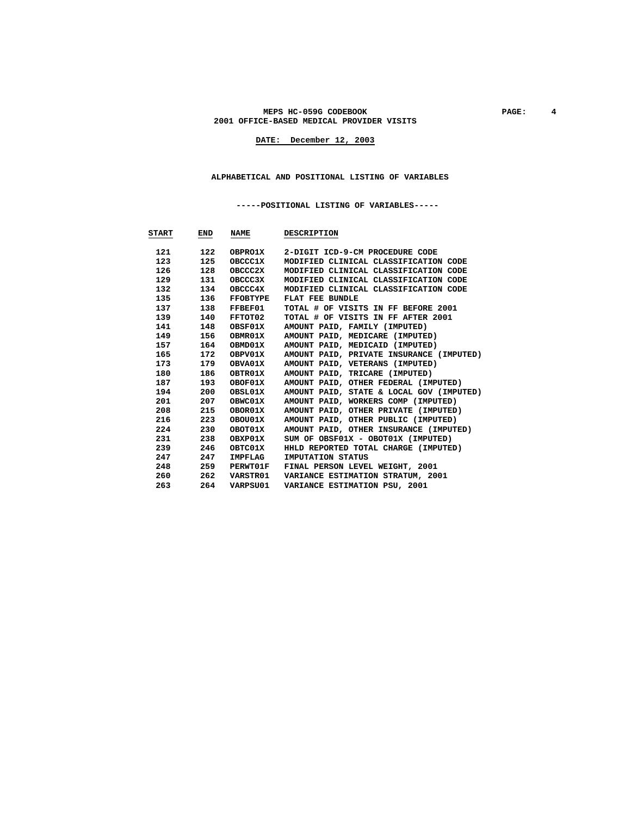#### **MEPS HC-059G CODEBOOK PAGE: 4 2001 OFFICE-BASED MEDICAL PROVIDER VISITS**

**DATE: December 12, 2003**

#### **ALPHABETICAL AND POSITIONAL LISTING OF VARIABLES**

 **-----POSITIONAL LISTING OF VARIABLES-----** 

| START                                                                                                                                                                                                                           | END | <b>NAME</b>     | <b>DESCRIPTION</b>                       |
|---------------------------------------------------------------------------------------------------------------------------------------------------------------------------------------------------------------------------------|-----|-----------------|------------------------------------------|
|                                                                                                                                                                                                                                 | 122 | <b>OBPRO1X</b>  | 2-DIGIT ICD-9-CM PROCEDURE CODE          |
| 123 —                                                                                                                                                                                                                           | 125 | <b>OBCCC1X</b>  | MODIFIED CLINICAL CLASSIFICATION CODE    |
| 126                                                                                                                                                                                                                             | 128 | OBCCC2X         | MODIFIED CLINICAL CLASSIFICATION CODE    |
| 129                                                                                                                                                                                                                             | 131 | OBCCC3X         | MODIFIED CLINICAL CLASSIFICATION CODE    |
| 132                                                                                                                                                                                                                             | 134 | OBCCC4X         | MODIFIED CLINICAL CLASSIFICATION CODE    |
| 135                                                                                                                                                                                                                             | 136 | FFOBTYPE        | FLAT FEE BUNDLE                          |
|                                                                                                                                                                                                                                 | 138 | FFBEF01         | TOTAL # OF VISITS IN FF BEFORE 2001      |
| 139                                                                                                                                                                                                                             | 140 | FFTOT02         | TOTAL # OF VISITS IN FF AFTER 2001       |
| 141                                                                                                                                                                                                                             | 148 | OBSF01X         | AMOUNT PAID, FAMILY (IMPUTED)            |
| 149                                                                                                                                                                                                                             | 156 | OBMR01X         | AMOUNT PAID, MEDICARE (IMPUTED)          |
|                                                                                                                                                                                                                                 | 164 | OBMD01X         | AMOUNT PAID, MEDICAID (IMPUTED)          |
| 165 —                                                                                                                                                                                                                           | 172 | OBPV01X         | AMOUNT PAID, PRIVATE INSURANCE (IMPUTED) |
| 173 —                                                                                                                                                                                                                           | 179 | <b>OBVA01X</b>  | AMOUNT PAID, VETERANS (IMPUTED)          |
| 180 — 180 — 180 — 180 — 180 — 180 — 180 — 180 — 180 — 180 — 180 — 180 — 180 — 180 — 180 — 180 — 180 — 180 — 180 — 180 — 180 — 180 — 180 — 180 — 180 — 180 — 180 — 180 — 180 — 180 — 180 — 180 — 180 — 180 — 180 — 180 — 180 — 1 | 186 | OBTR01X         | AMOUNT PAID, TRICARE (IMPUTED)           |
| 187 —                                                                                                                                                                                                                           | 193 | OBOF01X         | AMOUNT PAID, OTHER FEDERAL (IMPUTED)     |
| 194                                                                                                                                                                                                                             | 200 | OBSL01X         | AMOUNT PAID, STATE & LOCAL GOV (IMPUTED) |
| 201                                                                                                                                                                                                                             | 207 | OBWC01X         | AMOUNT PAID, WORKERS COMP (IMPUTED)      |
| 208                                                                                                                                                                                                                             | 215 | OBOR01X         | AMOUNT PAID, OTHER PRIVATE (IMPUTED)     |
| 216 —                                                                                                                                                                                                                           | 223 | OBOU01X         | AMOUNT PAID, OTHER PUBLIC (IMPUTED)      |
| 224                                                                                                                                                                                                                             | 230 | OBOT01X         | AMOUNT PAID, OTHER INSURANCE (IMPUTED)   |
| 231                                                                                                                                                                                                                             | 238 | OBXP01X         | SUM OF OBSF01X - OBOT01X (IMPUTED)       |
| 239                                                                                                                                                                                                                             | 246 | OBTC01X         | HHLD REPORTED TOTAL CHARGE (IMPUTED)     |
| 247                                                                                                                                                                                                                             | 247 | IMPFLAG         | IMPUTATION STATUS                        |
| 248                                                                                                                                                                                                                             | 259 | <b>PERWT01F</b> | FINAL PERSON LEVEL WEIGHT, 2001          |
| 260                                                                                                                                                                                                                             | 262 | <b>VARSTR01</b> | VARIANCE ESTIMATION STRATUM, 2001        |
| 263                                                                                                                                                                                                                             | 264 | VARPSU01        | VARIANCE ESTIMATION PSU, 2001            |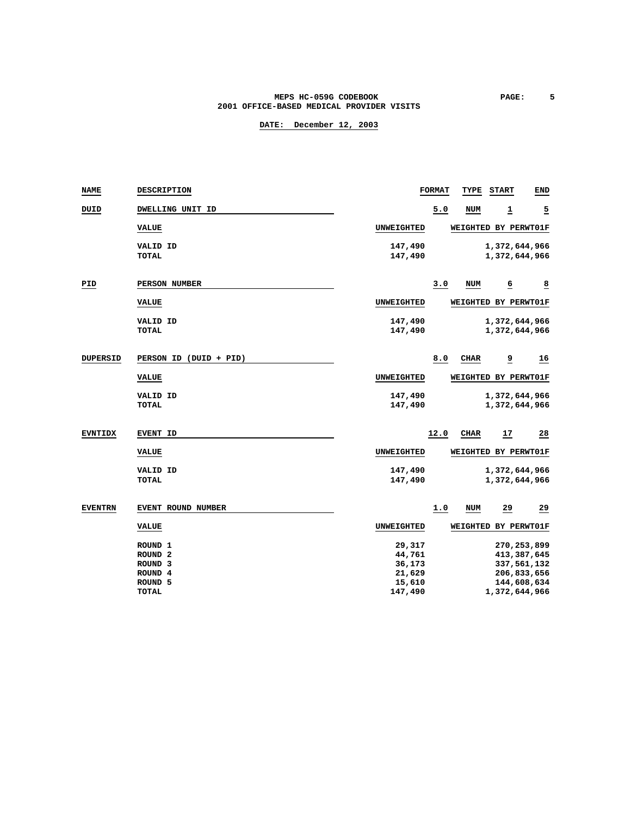### **MEPS HC-059G CODEBOOK PAGE:** 5  **2001 OFFICE-BASED MEDICAL PROVIDER VISITS**

| <b>NAME</b>     | <b>DESCRIPTION</b>     |                   | <b>FORMAT</b> | TYPE       | <b>START</b>         | <b>END</b>     |
|-----------------|------------------------|-------------------|---------------|------------|----------------------|----------------|
| DUID            | DWELLING UNIT ID       |                   | 5.0           | NUM        | 1                    | $\overline{2}$ |
|                 | <b>VALUE</b>           | UNWEIGHTED        |               |            | WEIGHTED BY PERWT01F |                |
|                 | VALID ID               | 147,490           |               |            | 1,372,644,966        |                |
|                 | <b>TOTAL</b>           | 147,490           |               |            | 1,372,644,966        |                |
| PID             | PERSON NUMBER          |                   | 3.0           | <b>NUM</b> | 6                    | $\overline{8}$ |
|                 | <b>VALUE</b>           | UNWEIGHTED        |               |            | WEIGHTED BY PERWT01F |                |
|                 | VALID ID               | 147,490           |               |            | 1,372,644,966        |                |
|                 | <b>TOTAL</b>           | 147,490           |               |            | 1,372,644,966        |                |
| <b>DUPERSID</b> | PERSON ID (DUID + PID) |                   | 8.0           | CIIAR      | <u>و</u>             | <u>16</u>      |
|                 | <b>VALUE</b>           | UNWEIGHTED        |               |            | WEIGHTED BY PERWT01F |                |
|                 | VALID ID               | 147,490           |               |            | 1,372,644,966        |                |
|                 | <b>TOTAL</b>           | 147,490           |               |            | 1,372,644,966        |                |
| <b>EVNTIDX</b>  | EVENT ID               |                   | 12.0          | CHAR       | $\frac{17}{1}$       | 28             |
|                 | <b>VALUE</b>           | UNWEIGHTED        |               |            | WEIGHTED BY PERWT01F |                |
|                 | <b>VALID ID</b>        | 147,490           |               |            | 1,372,644,966        |                |
|                 | <b>TOTAL</b>           | 147,490           |               |            | 1,372,644,966        |                |
| <b>EVENTRN</b>  | EVENT ROUND NUMBER     |                   | 1.0           | <b>NUM</b> | 29                   | 29             |
|                 | <b>VALUE</b>           | <b>UNWEIGHTED</b> |               |            | WEIGHTED BY PERWT01F |                |
|                 | ROUND <sub>1</sub>     | 29,317            |               |            | 270, 253, 899        |                |
|                 | ROUND <sub>2</sub>     | 44,761            |               |            | 413,387,645          |                |
|                 | ROUND <sub>3</sub>     | 36,173            |               |            | 337,561,132          |                |
|                 | ROUND <sub>4</sub>     | 21,629            |               |            | 206,833,656          |                |
|                 | ROUND <sub>5</sub>     | 15,610            |               |            | 144,608,634          |                |
|                 | <b>TOTAL</b>           | 147,490           |               |            | 1,372,644,966        |                |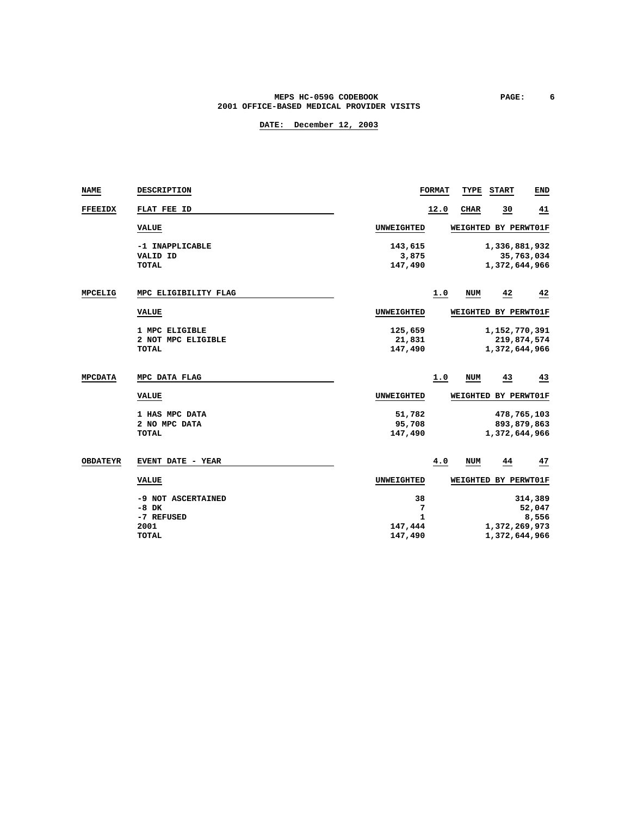### **MEPS HC-059G CODEBOOK PAGE:** 6  **2001 OFFICE-BASED MEDICAL PROVIDER VISITS**

| <b>NAME</b>     | DESCRIPTION              |                  | <b>FORMAT</b> | TYPE         | <b>START</b>         | <b>END</b>  |
|-----------------|--------------------------|------------------|---------------|--------------|----------------------|-------------|
| <b>FFEEIDX</b>  | FLAT FEE ID              |                  | 12.0          | <b>CIIAR</b> | $\overline{30}$      | <u>41</u>   |
|                 | <b>VALUE</b>             | UNWEIGHTED       |               |              | WEIGHTED BY PERWT01F |             |
|                 | -1 INAPPLICABLE          | 143,615          |               |              | 1,336,881,932        |             |
|                 | VALID ID<br><b>TOTAL</b> | 3,875<br>147,490 |               |              | 1,372,644,966        | 35,763,034  |
|                 |                          |                  |               |              |                      |             |
| MPCELIG         | MPC ELIGIBILITY FLAG     |                  | 1.0           | NUM          | 42                   | 42          |
|                 | <b>VALUE</b>             | UNWEIGHTED       |               |              | WEIGHTED BY PERWT01F |             |
|                 | 1 MPC ELIGIBLE           | 125,659          |               |              | 1,152,770,391        |             |
|                 | 2 NOT MPC ELIGIBLE       | 21,831           |               |              |                      | 219,874,574 |
|                 | <b>TOTAL</b>             | 147,490          |               |              | 1,372,644,966        |             |
| <b>MPCDATA</b>  | MPC DATA FLAG            |                  | 1.0           | NUM          | 43                   | 43          |
|                 | <b>VALUE</b>             | UNWEIGHTED       |               |              | WEIGHTED BY PERWT01F |             |
|                 | 1 HAS MPC DATA           | 51,782           |               |              |                      | 478,765,103 |
|                 | 2 NO MPC DATA            | 95,708           |               |              | 893,879,863          |             |
|                 | <b>TOTAL</b>             | 147,490          |               |              | 1,372,644,966        |             |
| <b>OBDATEYR</b> | <b>EVENT DATE - YEAR</b> |                  | 4.0           | <b>NUM</b>   | 44                   | 47          |
|                 | <b>VALUE</b>             | UNWEIGHTED       |               |              | WEIGHTED BY PERWT01F |             |
|                 | -9 NOT ASCERTAINED       | 38               |               |              |                      | 314,389     |
|                 | $-8$ DK                  | 7                |               |              |                      | 52,047      |
|                 | -7 REFUSED               | 1                |               |              |                      | 8,556       |
|                 | 2001                     | 147,444          |               |              | 1,372,269,973        |             |
|                 | <b>TOTAL</b>             | 147,490          |               |              | 1,372,644,966        |             |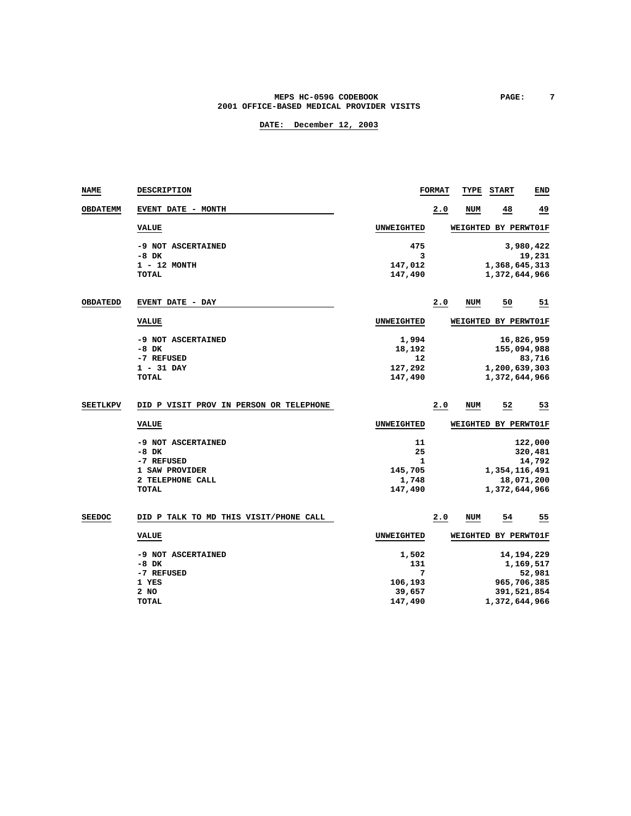### MEPS HC-059G CODEBOOK **PAGE:** 7  **2001 OFFICE-BASED MEDICAL PROVIDER VISITS**

# **DATE: December 12, 2003**

| NAME            | <b>DESCRIPTION</b>                      |                   | <b>FORMAT</b> | TYPE       | <b>START</b>         | END          |
|-----------------|-----------------------------------------|-------------------|---------------|------------|----------------------|--------------|
| <b>OBDATEMM</b> | <b>EVENT DATE - MONTH</b>               |                   | 2.0           | NUM        | 48                   | <u>49</u>    |
|                 | <b>VALUE</b>                            | UNWEIGHTED        |               |            | WEIGHTED BY PERWT01F |              |
|                 | -9 NOT ASCERTAINED                      | 475               |               |            |                      | 3,980,422    |
|                 | $-8$ DK                                 | 3                 |               |            |                      | 19,231       |
|                 | 1 - 12 MONTH                            | 147,012           |               |            | 1,368,645,313        |              |
|                 | <b>TOTAL</b>                            | 147,490           |               |            | 1,372,644,966        |              |
| <b>OBDATEDD</b> | <b>EVENT DATE - DAY</b>                 |                   | 2.0           | <b>NUM</b> | 50                   | 51           |
|                 | <b>VALUE</b>                            | <b>UNWEIGHTED</b> |               |            | WEIGHTED BY PERWT01F |              |
|                 | -9 NOT ASCERTAINED                      | 1,994             |               |            |                      | 16,826,959   |
|                 | $-8$ DK                                 | 18,192            |               |            | 155,094,988          |              |
|                 | -7 REFUSED                              | 12                |               |            |                      | 83,716       |
|                 | $1 - 31$ DAY                            | 127,292           |               |            | 1,200,639,303        |              |
|                 | TOTAL                                   | 147,490           |               |            | 1,372,644,966        |              |
| <b>SEETLKPV</b> | DID P VISIT PROV IN PERSON OR TELEPHONE |                   | 2.0           | NUM        | 52                   | 53           |
|                 | <b>VALUE</b>                            | UNWEIGHTED        |               |            | WEIGHTED BY PERWT01F |              |
|                 | -9 NOT ASCERTAINED                      | 11                |               |            |                      | 122,000      |
|                 | $-8$ DK                                 | 25                |               |            |                      | 320,481      |
|                 | -7 REFUSED                              | 1                 |               |            |                      | 14,792       |
|                 | 1 SAW PROVIDER                          | 145,705           |               |            | 1,354,116,491        |              |
|                 | 2 TELEPHONE CALL                        | 1,748             |               |            |                      | 18,071,200   |
|                 | <b>TOTAL</b>                            | 147,490           |               |            | 1,372,644,966        |              |
| <b>SEEDOC</b>   | DID P TALK TO MD THIS VISIT/PHONE CALL  |                   | 2.0           | NUM        | $\overline{54}$      | 55           |
|                 | <b>VALUE</b>                            | <b>UNWEIGHTED</b> |               |            | WEIGHTED BY PERWT01F |              |
|                 | -9 NOT ASCERTAINED                      | 1,502             |               |            |                      | 14, 194, 229 |
|                 | $-8$ DK                                 | 131               |               |            |                      | 1,169,517    |
|                 | -7 REFUSED                              | 7                 |               |            |                      | 52,981       |
|                 | 1 YES                                   | 106,193           |               |            | 965,706,385          |              |
|                 | 2 NO                                    | 39,657            |               |            | 391,521,854          |              |

 **TOTAL 147,490 1,372,644,966**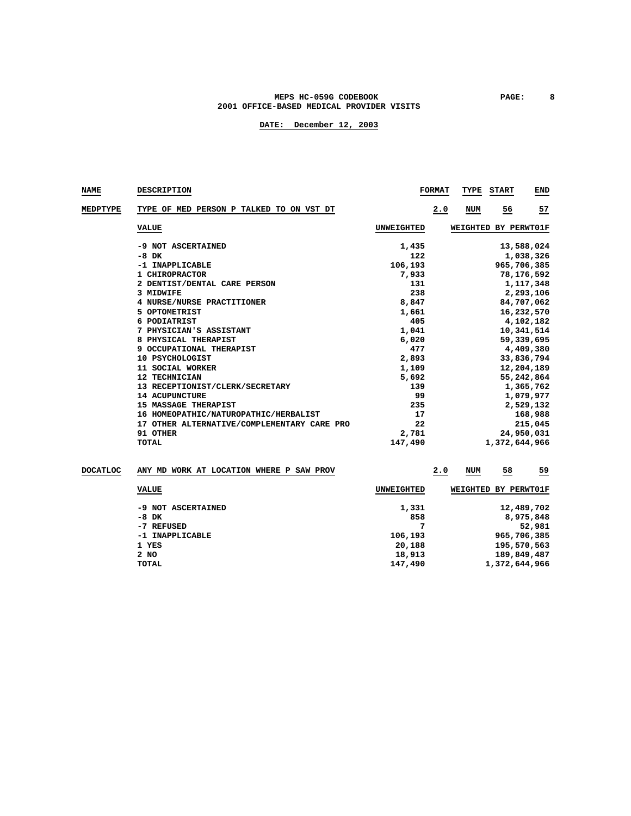### **MEPS HC-059G CODEBOOK PAGE: 8 2001 OFFICE-BASED MEDICAL PROVIDER VISITS**

| <b>NAME</b> | <b>DESCRIPTION</b>                          |                   | <b>FORMAT</b><br><b>TYPE START</b><br><b>END</b> |
|-------------|---------------------------------------------|-------------------|--------------------------------------------------|
| MEDPTYPE    | TYPE OF MED PERSON P TALKED TO ON VST DT    |                   | <u>57</u><br>NUM<br>56<br>2.0                    |
|             | <b>VALUE</b>                                | <b>UNWEIGHTED</b> | WEIGHTED BY PERWT01F                             |
|             | -9 NOT ASCERTAINED                          | 1,435             | 13,588,024                                       |
|             | $-8$ DK                                     | 122               | 1,038,326                                        |
|             | -1 INAPPLICABLE                             | 106,193           | 965,706,385                                      |
|             | 1 CHIROPRACTOR                              | 7,933             | 78, 176, 592                                     |
|             | 2 DENTIST/DENTAL CARE PERSON                | 131               | 1,117,348                                        |
|             | 3 MIDWIFE                                   | 238               | 2,293,106                                        |
|             | 4 NURSE/NURSE PRACTITIONER                  | 8,847             | 84,707,062                                       |
|             | 5 OPTOMETRIST                               | 1,661             | 16,232,570                                       |
|             | 6 PODIATRIST                                | 405               | 4,102,182                                        |
|             | 7 PHYSICIAN'S ASSISTANT                     | 1,041             | 10,341,514                                       |
|             | 8 PHYSICAL THERAPIST                        | 6,020             | 59,339,695                                       |
|             | 9 OCCUPATIONAL THERAPIST                    | 477               | 4,409,380                                        |
|             | 10 PSYCHOLOGIST                             | 2,893             | 33,836,794                                       |
|             | 11 SOCIAL WORKER                            | 1,109             | 12,204,189                                       |
|             | 12 TECHNICIAN                               | 5,692             | 55,242,864                                       |
|             | 13 RECEPTIONIST/CLERK/SECRETARY             | 139               | 1,365,762                                        |
|             | <b>14 ACUPUNCTURE</b>                       | 99                | 1,079,977                                        |
|             | <b>MASSAGE THERAPIST</b><br>15              | 235               | 2,529,132                                        |
|             | 16 HOMEOPATHIC/NATUROPATHIC/HERBALIST       | 17                | 168,988                                          |
|             | 17 OTHER ALTERNATIVE/COMPLEMENTARY CARE PRO | 22                | 215,045                                          |
|             | 91 OTHER                                    | 2,781             | 24,950,031                                       |
|             | <b>TOTAL</b>                                | 147,490           | 1,372,644,966                                    |
|             |                                             |                   |                                                  |

| <b>DOCATLOC</b> | WORK AT LOCATION WHERE P SAW PROV<br>ANY MD |                   | 2.0<br>NUM | <u>59</u><br>58      |  |
|-----------------|---------------------------------------------|-------------------|------------|----------------------|--|
|                 | <b>VALUE</b>                                | <b>UNWEIGHTED</b> |            | WEIGHTED BY PERWT01F |  |
|                 | -9 NOT ASCERTAINED                          | 1,331             |            | 12,489,702           |  |
|                 | $-8$ DK                                     | 858               |            | 8,975,848            |  |
|                 | -7 REFUSED                                  | 7                 |            | 52,981               |  |
|                 | -1 INAPPLICABLE                             | 106,193           |            | 965,706,385          |  |
|                 | 1 YES                                       | 20,188            |            | 195,570,563          |  |
|                 | $2$ NO                                      | 18,913            |            | 189,849,487          |  |
|                 | TOTAL                                       | 147,490           |            | 1,372,644,966        |  |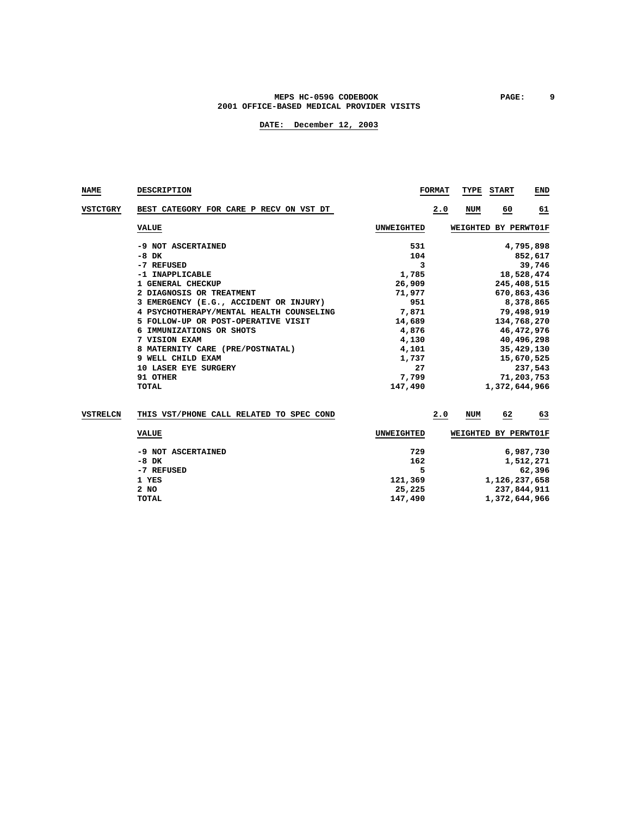### **MEPS HC-059G CODEBOOK PAGE: 9 2001 OFFICE-BASED MEDICAL PROVIDER VISITS**

|                                          |            | <b>FORMAT</b> | TYPE START    | END                  |
|------------------------------------------|------------|---------------|---------------|----------------------|
| BEST CATEGORY FOR CARE P RECV ON VST DT  |            | 2.0<br>NUM    | 60            | 61                   |
| <b>VALUE</b>                             | UNWEIGHTED |               |               |                      |
| -9 NOT ASCERTAINED                       | 531        |               |               | 4,795,898            |
| -8 DK                                    | 104        |               |               | 852,617              |
| -7 REFUSED                               | 3          |               |               | 39,746               |
| -1 INAPPLICABLE                          | 1,785      |               |               | 18,528,474           |
| 1 GENERAL CHECKUP                        | 26,909     |               |               | 245,408,515          |
| 2 DIAGNOSIS OR TREATMENT                 | 71,977     |               |               | 670,863,436          |
| 3 EMERGENCY (E.G., ACCIDENT OR INJURY)   | 951        |               |               | 8,378,865            |
| 4 PSYCHOTHERAPY/MENTAL HEALTH COUNSELING | 7,871      |               |               | 79,498,919           |
| 5 FOLLOW-UP OR POST-OPERATIVE VISIT      | 14,689     |               |               | 134,768,270          |
| IMMUNIZATIONS OR SHOTS                   | 4,876      |               |               | 46,472,976           |
| 7 VISION EXAM                            | 4,130      |               |               | 40,496,298           |
| 8 MATERNITY CARE (PRE/POSTNATAL)         | 4,101      |               |               | 35,429,130           |
| 9 WELL CHILD EXAM                        | 1,737      |               |               | 15,670,525           |
| <b>10 LASER EYE SURGERY</b>              | 27         |               |               | 237,543              |
| 91 OTHER                                 | 7,799      |               |               | 71,203,753           |
| TOTAL                                    | 147,490    |               | 1,372,644,966 |                      |
|                                          |            |               |               | WEIGHTED BY PERWT01F |

| VSTRELCN | THIS VST/PHONE CALL RELATED TO SPEC COND |            | 2.0<br><b>NUM</b> | 62<br>63             |
|----------|------------------------------------------|------------|-------------------|----------------------|
|          | VALUE                                    | UNWEIGHTED |                   | WEIGHTED BY PERWT01F |
|          | -9 NOT ASCERTAINED                       | 729        |                   | 6,987,730            |
|          | $-8$ DK                                  | 162        |                   | 1,512,271            |
|          | -7 REFUSED                               | 5          |                   | 62,396               |
|          | 1 YES                                    | 121,369    |                   | 1,126,237,658        |
|          | $2$ NO                                   | 25,225     |                   | 237,844,911          |
|          | TOTAL                                    | 147,490    |                   | 1,372,644,966        |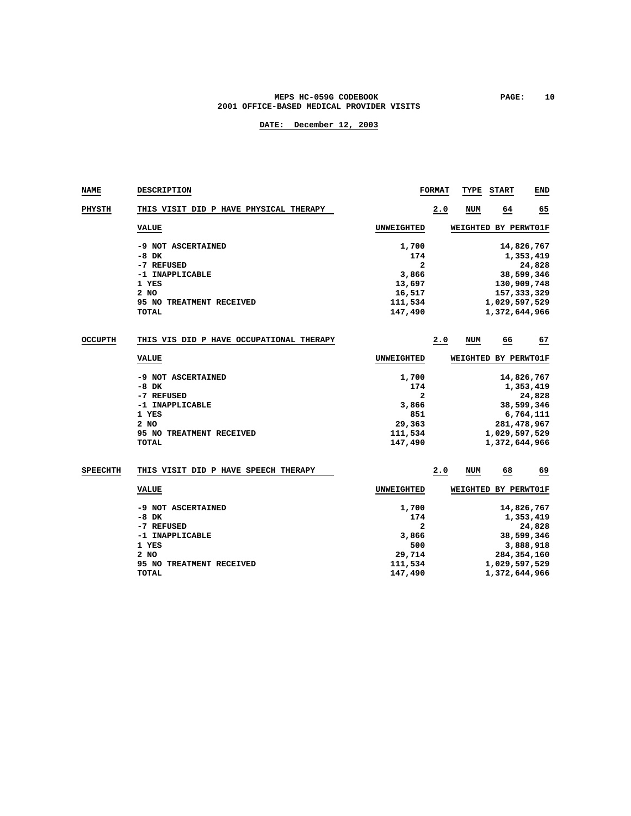### **MEPS HC-059G CODEBOOK PAGE: 10 2001 OFFICE-BASED MEDICAL PROVIDER VISITS**

| <b>NAME</b>     | DESCRIPTION                              |                   | <b>FORMAT</b> | TYPE       | <b>START</b>         | END        |
|-----------------|------------------------------------------|-------------------|---------------|------------|----------------------|------------|
| PHYSTH          | THIS VISIT DID P HAVE PHYSICAL THERAPY   |                   | 2.0           | NUM        | 64                   | 65         |
|                 | <b>VALUE</b>                             | <b>UNWEIGHTED</b> |               |            | WEIGHTED BY PERWT01F |            |
|                 | -9 NOT ASCERTAINED                       | 1,700             |               |            |                      | 14,826,767 |
|                 | $-8$ DK                                  | 174               |               |            |                      | 1,353,419  |
|                 | -7 REFUSED                               | $\mathbf{z}$      |               |            |                      | 24,828     |
|                 | -1 INAPPLICABLE                          | 3,866             |               |            |                      | 38,599,346 |
|                 | 1 YES                                    | 13,697            |               |            | 130,909,748          |            |
|                 | 2 NO                                     | 16,517            |               |            | 157, 333, 329        |            |
|                 | 95 NO TREATMENT RECEIVED                 | 111,534           |               |            | 1,029,597,529        |            |
|                 | TOTAL                                    | 147,490           |               |            | 1,372,644,966        |            |
| <b>OCCUPTH</b>  | THIS VIS DID P HAVE OCCUPATIONAL THERAPY |                   | 2.0           | <b>NUM</b> | 66                   | 67         |
|                 | <b>VALUE</b>                             | UNWEIGHTED        |               |            | WEIGHTED BY PERWT01F |            |
|                 | -9 NOT ASCERTAINED                       | 1,700             |               |            |                      | 14,826,767 |
|                 | -8 DK                                    | 174               |               |            |                      | 1,353,419  |
|                 | -7 REFUSED                               | $\mathbf{z}$      |               |            |                      | 24,828     |
|                 | -1 INAPPLICABLE                          | 3,866             |               |            |                      | 38,599,346 |
|                 | 1 YES                                    | 851               |               |            |                      | 6,764,111  |
|                 | 2 NO                                     | 29,363            |               |            | 281, 478, 967        |            |
|                 | 95 NO TREATMENT RECEIVED                 | 111,534           |               |            | 1,029,597,529        |            |
|                 | TOTAL                                    | 147,490           |               |            | 1,372,644,966        |            |
| <b>SPEECHTH</b> | THIS VISIT DID P HAVE SPEECH THERAPY     |                   | 2.0           | NUM        | 68                   | 69         |
|                 | <b>VALUE</b>                             | UNWEIGHTED        |               |            | WEIGHTED BY PERWT01F |            |
|                 |                                          |                   |               |            |                      |            |
|                 | -9 NOT ASCERTAINED                       | 1,700             |               |            |                      | 14,826,767 |
|                 | -8 DK                                    | 174               |               |            |                      | 1,353,419  |
|                 | -7 REFUSED                               | 2                 |               |            |                      | 24,828     |
|                 | -1 INAPPLICABLE                          | 3,866             |               |            |                      | 38,599,346 |
|                 | 1 YES                                    | 500               |               |            |                      | 3,888,918  |
|                 | 2 NO                                     | 29,714            |               |            | 284, 354, 160        |            |
|                 | 95 NO TREATMENT RECEIVED                 | 111,534           |               |            | 1,029,597,529        |            |
|                 | <b>TOTAL</b>                             | 147,490           |               |            | 1,372,644,966        |            |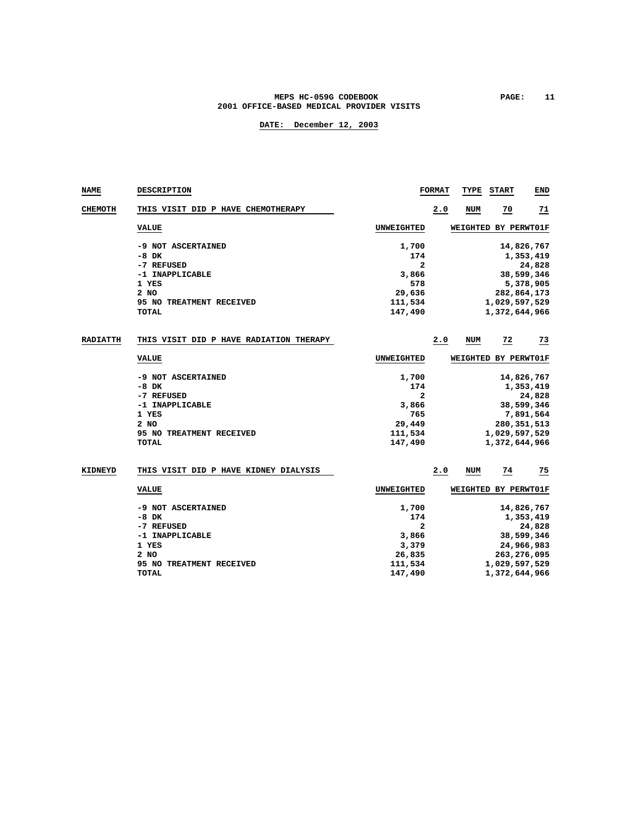### **MEPS HC-059G CODEBOOK PAGE:** 11  **2001 OFFICE-BASED MEDICAL PROVIDER VISITS**

| NAME           | <b>DESCRIPTION</b>                      |                   | <b>FORMAT</b> | TYPE                 | <b>START</b>         | END        |
|----------------|-----------------------------------------|-------------------|---------------|----------------------|----------------------|------------|
| <b>CHEMOTH</b> | THIS VISIT DID P HAVE CHEMOTHERAPY      |                   | 2.0           | <b>NUM</b>           | 70                   | 71         |
|                | <b>VALUE</b>                            | <b>UNWEIGHTED</b> |               |                      | WEIGHTED BY PERWT01F |            |
|                | -9 NOT ASCERTAINED                      | 1,700             |               |                      |                      | 14,826,767 |
|                | $-8$ DK                                 | 174               |               |                      |                      | 1,353,419  |
|                | -7 REFUSED                              | $\mathbf{2}$      |               |                      |                      | 24,828     |
|                | -1 INAPPLICABLE                         | 3,866             |               |                      |                      | 38,599,346 |
|                | 1 YES                                   | 578               |               |                      |                      | 5,378,905  |
|                | 2 NO                                    | 29,636            |               |                      | 282,864,173          |            |
|                | 95 NO TREATMENT RECEIVED                | 111,534           |               |                      | 1,029,597,529        |            |
|                | TOTAL                                   | 147,490           |               |                      | 1,372,644,966        |            |
| RADIATTH       | THIS VISIT DID P HAVE RADIATION THERAPY |                   | 2.0           | NUM                  | 72                   | 73         |
|                |                                         |                   |               |                      |                      |            |
|                | <b>VALUE</b>                            | <b>UNWEIGHTED</b> |               |                      | WEIGHTED BY PERWT01F |            |
|                | -9 NOT ASCERTAINED                      | 1,700             |               |                      |                      | 14,826,767 |
|                | $-8$ DK                                 | 174               |               |                      |                      | 1,353,419  |
|                | -7 REFUSED                              | $\mathbf{z}$      |               |                      |                      | 24,828     |
|                | -1 INAPPLICABLE                         | 3,866             |               |                      |                      | 38,599,346 |
|                | 1 YES                                   | 765               |               |                      |                      | 7,891,564  |
|                | 2 NO                                    | 29,449            |               |                      | 280, 351, 513        |            |
|                | 95 NO TREATMENT RECEIVED                | 111,534           |               |                      | 1,029,597,529        |            |
|                | <b>TOTAL</b>                            | 147,490           |               |                      | 1,372,644,966        |            |
|                |                                         |                   |               |                      |                      |            |
| <b>KIDNEYD</b> | THIS VISIT DID P HAVE KIDNEY DIALYSIS   |                   | 2.0           | NUM                  | 74                   | 75         |
|                | <b>VALUE</b>                            | <b>UNWEIGHTED</b> |               | WEIGHTED BY PERWT01F |                      |            |
|                | -9 NOT ASCERTAINED                      | 1,700             |               |                      |                      | 14,826,767 |
|                | $-8$ DK                                 | 174               |               |                      |                      | 1,353,419  |
|                | -7 REFUSED                              | 2                 |               |                      |                      | 24,828     |
|                | -1 INAPPLICABLE                         | 3,866             |               |                      |                      | 38,599,346 |
|                | 1 YES                                   | 3,379             |               |                      |                      | 24,966,983 |
|                | 2 NO                                    | 26,835            |               |                      | 263, 276, 095        |            |
|                | 95 NO TREATMENT RECEIVED                | 111,534           |               |                      | 1,029,597,529        |            |
|                | <b>TOTAL</b>                            | 147,490           |               |                      | 1,372,644,966        |            |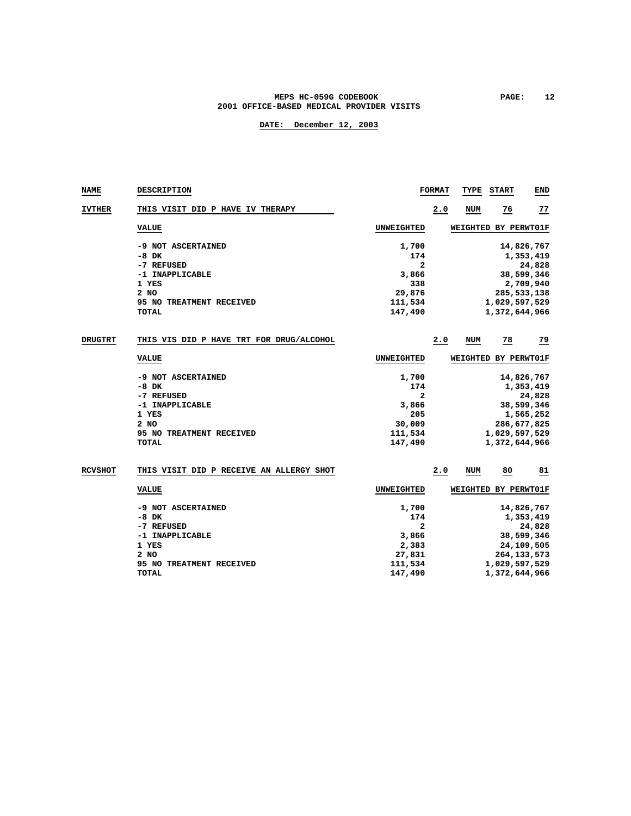### MEPS HC-059G CODEBOOK **PAGE:** 12  **2001 OFFICE-BASED MEDICAL PROVIDER VISITS**

| NAME           | <b>DESCRIPTION</b>                       |                   | <b>FORMAT</b> | TYPE | <b>START</b>         | END        |
|----------------|------------------------------------------|-------------------|---------------|------|----------------------|------------|
| <b>IVTHER</b>  | THIS VISIT DID P HAVE IV THERAPY         |                   | 2.0           | NUM  | 76                   | 77         |
|                | <b>VALUE</b>                             | <b>UNWEIGHTED</b> |               |      | WEIGHTED BY PERWT01F |            |
|                | -9 NOT ASCERTAINED                       | 1,700             |               |      |                      | 14,826,767 |
|                | $-8$ DK                                  | 174               |               |      |                      | 1,353,419  |
|                | -7 REFUSED                               | $\mathbf{z}$      |               |      |                      | 24,828     |
|                | -1 INAPPLICABLE                          | 3,866             |               |      |                      | 38,599,346 |
|                | 1 YES                                    | 338               |               |      |                      | 2,709,940  |
|                | 2 NO                                     | 29,876            |               |      | 285, 533, 138        |            |
|                | 95 NO TREATMENT RECEIVED                 | 111,534           |               |      | 1,029,597,529        |            |
|                | TOTAL                                    | 147,490           |               |      | 1,372,644,966        |            |
| DRUGTRT        | THIS VIS DID P HAVE TRT FOR DRUG/ALCOHOL |                   | 2.0           | NUM  | 78                   | 79         |
|                | <b>VALUE</b>                             | <b>UNWEIGHTED</b> |               |      | WEIGHTED BY PERWT01F |            |
|                | -9 NOT ASCERTAINED                       | 1,700             |               |      |                      | 14,826,767 |
|                | -8 DK                                    | 174               |               |      |                      | 1,353,419  |
|                | -7 REFUSED                               | $\mathbf{z}$      |               |      |                      | 24,828     |
|                | -1 INAPPLICABLE                          | 3,866             |               |      |                      | 38,599,346 |
|                | 1 YES                                    | 205               |               |      |                      | 1,565,252  |
|                | 2 NO                                     | 30,009            |               |      | 286,677,825          |            |
|                | 95 NO TREATMENT RECEIVED                 | 111,534           |               |      | 1,029,597,529        |            |
|                | <b>TOTAL</b>                             | 147,490           |               |      | 1,372,644,966        |            |
|                |                                          |                   |               |      |                      |            |
| <b>RCVSHOT</b> | THIS VISIT DID P RECEIVE AN ALLERGY SHOT |                   | 2.0           | NUM  | 80                   | 81         |
|                | <b>VALUE</b>                             | <b>UNWEIGHTED</b> |               |      | WEIGHTED BY PERWT01F |            |
|                | -9 NOT ASCERTAINED                       | 1,700             |               |      |                      | 14,826,767 |
|                | $-8$ DK                                  | 174               |               |      |                      | 1,353,419  |
|                | -7 REFUSED                               | 2                 |               |      |                      | 24,828     |
|                | -1 INAPPLICABLE                          | 3,866             |               |      |                      | 38,599,346 |
|                | 1 YES                                    | 2,383             |               |      |                      | 24,109,505 |
|                | 2 NO                                     | 27,831            |               |      | 264, 133, 573        |            |
|                | 95 NO TREATMENT RECEIVED                 | 111,534           |               |      | 1,029,597,529        |            |
|                | <b>TOTAL</b>                             | 147,490           |               |      | 1,372,644,966        |            |
|                |                                          |                   |               |      |                      |            |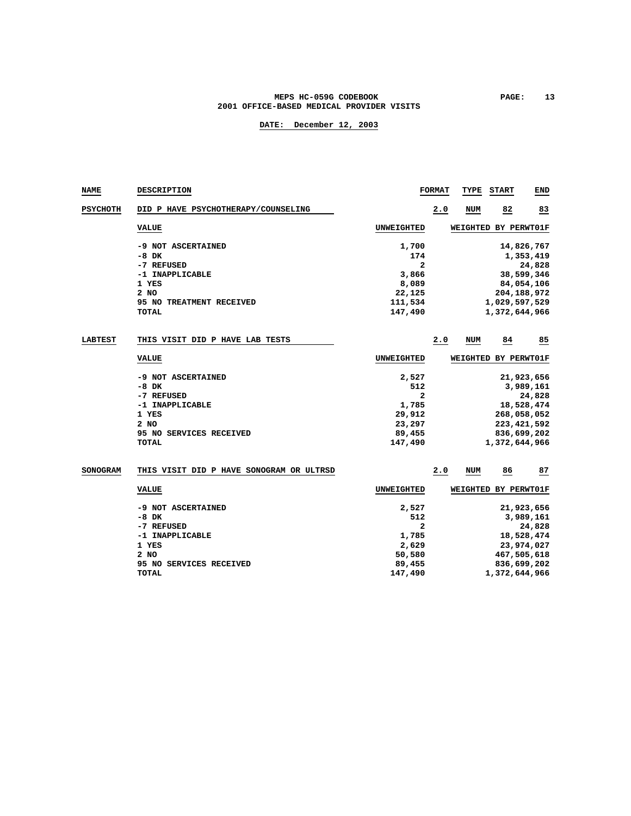#### **MEPS HC-059G CODEBOOK PAGE: 13 2001 OFFICE-BASED MEDICAL PROVIDER VISITS**

| <b>NAME</b>     | DESCRIPTION                              |                | <b>FORMAT</b> | TYPE                 | <b>START</b>  | END           |
|-----------------|------------------------------------------|----------------|---------------|----------------------|---------------|---------------|
| <b>PSYCHOTH</b> | DID P HAVE PSYCHOTHERAPY/COUNSELING      |                | 2.0           | <b>NUM</b>           | 82            | 83            |
|                 | <b>VALUE</b>                             | UNWEIGHTED     |               | WEIGHTED BY PERWT01F |               |               |
|                 | -9 NOT ASCERTAINED                       | 1,700          |               |                      |               | 14,826,767    |
|                 | $-8$ DK                                  | 174            |               |                      |               | 1,353,419     |
|                 | -7 REFUSED                               | $\overline{a}$ |               |                      |               | 24,828        |
|                 | -1 INAPPLICABLE                          | 3,866          |               |                      |               | 38,599,346    |
|                 | 1 YES                                    | 8,089          |               |                      |               | 84,054,106    |
|                 | 2 NO                                     | 22,125         |               |                      |               | 204,188,972   |
|                 | 95 NO TREATMENT RECEIVED                 | 111,534        |               |                      | 1,029,597,529 |               |
|                 | TOTAL                                    | 147,490        |               |                      | 1,372,644,966 |               |
| <b>LABTEST</b>  | THIS VISIT DID P HAVE LAB TESTS          |                | 2.0           | <b>NUM</b>           | 84            | 85            |
|                 | <b>VALUE</b>                             | UNWEIGHTED     |               | WEIGHTED BY PERWT01F |               |               |
|                 | -9 NOT ASCERTAINED                       | 2,527          |               |                      |               | 21,923,656    |
|                 | $-8$ DK                                  | 512            |               |                      |               | 3,989,161     |
|                 | -7 REFUSED                               | $\overline{a}$ |               |                      |               | 24,828        |
|                 | -1 INAPPLICABLE                          | 1,785          |               |                      |               | 18,528,474    |
|                 | 1 YES                                    | 29,912         |               |                      |               | 268,058,052   |
|                 | 2 NO                                     | 23,297         |               |                      |               | 223, 421, 592 |
|                 | 95 NO SERVICES RECEIVED                  | 89,455         |               |                      |               | 836,699,202   |
|                 | TOTAL                                    | 147,490        |               |                      | 1,372,644,966 |               |
| <b>SONOGRAM</b> | THIS VISIT DID P HAVE SONOGRAM OR ULTRSD |                | 2.0           | <b>NUM</b>           | 86            | 87            |
|                 |                                          |                |               |                      |               |               |
|                 | <b>VALUE</b>                             | UNWEIGHTED     |               | WEIGHTED BY PERWT01F |               |               |
|                 | -9 NOT ASCERTAINED                       | 2,527          |               |                      |               | 21,923,656    |
|                 | $-8$ DK                                  | 512            |               |                      |               | 3,989,161     |
|                 | -7 REFUSED                               | 2              |               |                      |               | 24,828        |
|                 | -1 INAPPLICABLE                          | 1,785          |               |                      |               | 18,528,474    |
|                 | 1 YES                                    | 2,629          |               |                      |               | 23,974,027    |
|                 | 2 NO                                     | 50,580         |               |                      |               | 467,505,618   |
|                 | 95 NO SERVICES RECEIVED                  | 89,455         |               |                      |               | 836,699,202   |
|                 | <b>TOTAL</b>                             | 147,490        |               |                      | 1,372,644,966 |               |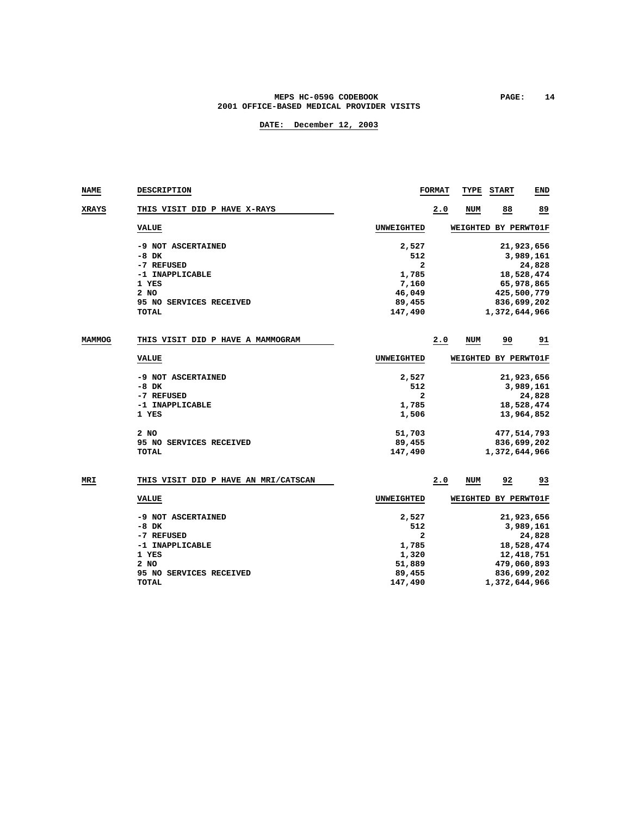### **MEPS HC-059G CODEBOOK PAGE: 14 2001 OFFICE-BASED MEDICAL PROVIDER VISITS**

### **DATE: December 12, 2003**

| NAME          | <b>DESCRIPTION</b>                   |                   | <b>FORMAT</b> | TYPE                 | <b>START</b>  | END          |
|---------------|--------------------------------------|-------------------|---------------|----------------------|---------------|--------------|
| XRAYS         | THIS VISIT DID P HAVE X-RAYS         |                   | 2.0           | <b>NUM</b>           | 88            | 89           |
|               | <b>VALUE</b>                         | UNWEIGHTED        |               | WEIGHTED BY PERWT01F |               |              |
|               | -9 NOT ASCERTAINED                   | 2,527             |               |                      |               | 21,923,656   |
|               | $-8$ DK                              | 512               |               |                      |               | 3,989,161    |
|               | -7 REFUSED                           | 2                 |               |                      |               | 24,828       |
|               | -1 INAPPLICABLE                      | 1,785             |               |                      |               | 18,528,474   |
|               | 1 YES                                | 7,160             |               |                      |               | 65,978,865   |
|               | 2 NO                                 | 46,049            |               |                      |               | 425,500,779  |
|               | 95 NO SERVICES RECEIVED              | 89,455            |               |                      |               | 836,699,202  |
|               | <b>TOTAL</b>                         | 147,490           |               |                      | 1,372,644,966 |              |
|               |                                      |                   |               |                      |               |              |
| <b>MAMMOG</b> | THIS VISIT DID P HAVE A MAMMOGRAM    |                   | 2.0           | <b>NUM</b>           | 90            | 91           |
|               | <b>VALUE</b>                         | <b>UNWEIGHTED</b> |               | WEIGHTED BY PERWT01F |               |              |
|               | -9 NOT ASCERTAINED                   | 2,527             |               |                      |               | 21,923,656   |
|               | $-8$ DK                              | 512               |               |                      |               | 3,989,161    |
|               | -7 REFUSED                           | $\mathbf{z}$      |               |                      |               | 24,828       |
|               | -1 INAPPLICABLE                      | 1,785             |               |                      |               | 18,528,474   |
|               | 1 YES                                | 1,506             |               |                      |               | 13,964,852   |
|               | 2 NO                                 | 51,703            |               |                      |               | 477,514,793  |
|               | 95 NO SERVICES RECEIVED              | 89,455            |               |                      |               | 836,699,202  |
|               | <b>TOTAL</b>                         | 147,490           |               |                      | 1,372,644,966 |              |
|               |                                      |                   |               |                      |               |              |
| MRI           | THIS VISIT DID P HAVE AN MRI/CATSCAN |                   | 2.0           | <b>NUM</b>           | 92            | 93           |
|               | <b>VALUE</b>                         | <b>UNWEIGHTED</b> |               | WEIGHTED BY PERWT01F |               |              |
|               | -9 NOT ASCERTAINED                   | 2,527             |               |                      |               | 21,923,656   |
|               | $-8$ DK                              | 512               |               |                      |               | 3,989,161    |
|               | -7 REFUSED                           | 2                 |               |                      |               | 24,828       |
|               | -1 INAPPLICABLE                      | 1,785             |               |                      |               | 18,528,474   |
|               | 1 YES                                | 1,320             |               |                      |               | 12, 418, 751 |

 **2 NO 51,889 479,060,893 95 NO SERVICES RECEIVED 89,455 836,699,202 TOTAL 147,490 1,372,644,966**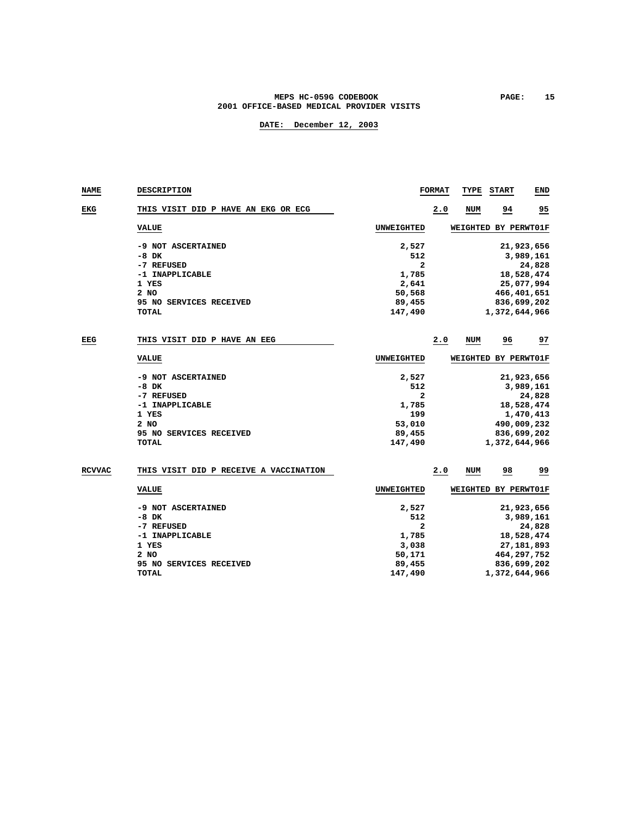### MEPS HC-059G CODEBOOK PAGE: 15  **2001 OFFICE-BASED MEDICAL PROVIDER VISITS**

| <b>NAME</b>   | <b>DESCRIPTION</b>                                                                                                           |                                                                               | <b>FORMAT</b> | TYPE | <b>START</b>         | <b>END</b>                                                                                    |
|---------------|------------------------------------------------------------------------------------------------------------------------------|-------------------------------------------------------------------------------|---------------|------|----------------------|-----------------------------------------------------------------------------------------------|
| EKG           | THIS VISIT DID P HAVE AN EKG OR ECG                                                                                          |                                                                               | 2.0           | NUM  | $\frac{94}{1}$       | $\overline{25}$                                                                               |
|               | <b>VALUE</b>                                                                                                                 | <b>UNWEIGHTED</b>                                                             |               |      | WEIGHTED BY PERWT01F |                                                                                               |
|               | -9 NOT ASCERTAINED<br>$-8$ DK<br>-7 REFUSED<br>-1 INAPPLICABLE<br>1 YES<br>$2$ NO<br>95 NO SERVICES RECEIVED<br><b>TOTAL</b> | 2,527<br>512<br>$\mathbf{z}$<br>1,785<br>2,641<br>50,568<br>89,455<br>147,490 |               |      | 1,372,644,966        | 21,923,656<br>3,989,161<br>24,828<br>18,528,474<br>25,077,994<br>466, 401, 651<br>836,699,202 |
| EEG           | THIS VISIT DID P HAVE AN EEG                                                                                                 |                                                                               | 2.0           | NUM  | 96                   | 97                                                                                            |
|               | <b>VALUE</b>                                                                                                                 | <b>UNWEIGHTED</b>                                                             |               |      | WEIGHTED BY PERWT01F |                                                                                               |
|               | -9 NOT ASCERTAINED<br>$-8$ DK<br>-7 REFUSED<br>-1 INAPPLICABLE<br>1 YES<br>$2$ NO<br>95 NO SERVICES RECEIVED<br><b>TOTAL</b> | 2,527<br>512<br>2<br>1,785<br>199<br>53,010<br>89,455<br>147,490              |               |      | 1,372,644,966        | 21,923,656<br>3,989,161<br>24,828<br>18,528,474<br>1,470,413<br>490,009,232<br>836,699,202    |
| <b>RCVVAC</b> | THIS VISIT DID P RECEIVE A VACCINATION                                                                                       |                                                                               | 2.0           | NUM  | 98                   | 99                                                                                            |
|               | <b>VALUE</b>                                                                                                                 | <b>UNWEIGHTED</b>                                                             |               |      | WEIGHTED BY PERWT01F |                                                                                               |
|               | -9 NOT ASCERTAINED<br>$-8$ DK<br>-7 REFUSED<br>-1 INAPPLICABLE<br>1 YES<br>2 NO<br>95 NO SERVICES RECEIVED<br><b>TOTAL</b>   | 2,527<br>512<br>2<br>1,785<br>3,038<br>50,171<br>89,455<br>147,490            |               |      | 1,372,644,966        | 21,923,656<br>3,989,161<br>24,828<br>18,528,474<br>27, 181, 893<br>464,297,752<br>836,699,202 |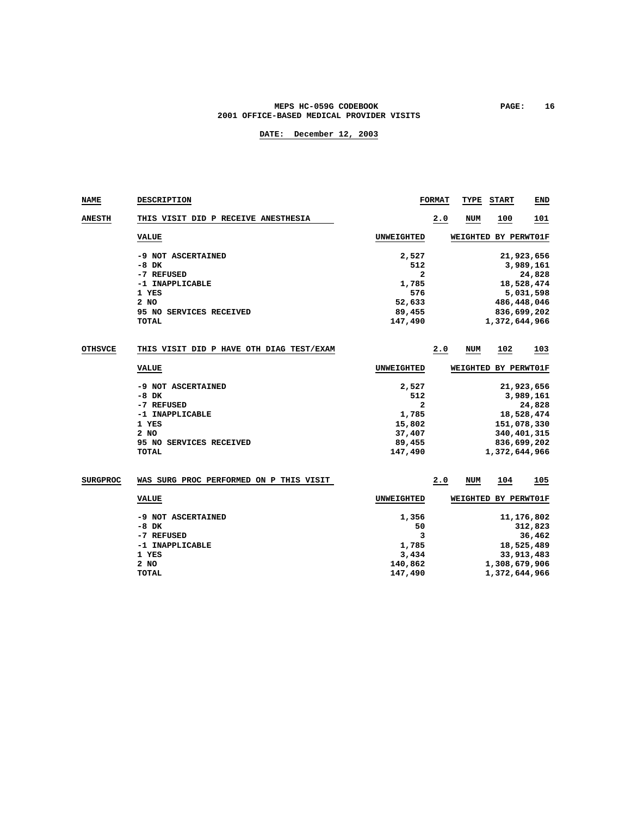#### **MEPS HC-059G CODEBOOK PAGE: 16 2001 OFFICE-BASED MEDICAL PROVIDER VISITS**

| <b>NAME</b>     | <b>DESCRIPTION</b>                       |                | <b>FORMAT</b> | TYPE                 | <b>START</b>  | END         |
|-----------------|------------------------------------------|----------------|---------------|----------------------|---------------|-------------|
| <b>ANESTH</b>   | THIS VISIT DID P RECEIVE ANESTHESIA      |                | 2.0           | <b>NUM</b>           | 100           | 101         |
|                 | <b>VALUE</b>                             | UNWEIGHTED     |               | <b>WEIGHTED</b>      |               | BY PERWT01F |
|                 | -9 NOT ASCERTAINED                       | 2,527          |               |                      |               | 21,923,656  |
|                 | $-8$ DK                                  | 512            |               |                      |               | 3,989,161   |
|                 | -7 REFUSED                               | $\mathbf{z}$   |               |                      |               | 24,828      |
|                 | -1 INAPPLICABLE                          | 1,785          |               |                      |               | 18,528,474  |
|                 | 1 YES                                    | 576            |               |                      |               | 5,031,598   |
|                 | $2$ NO                                   | 52,633         |               |                      |               | 486,448,046 |
|                 | 95 NO SERVICES RECEIVED                  | 89,455         |               |                      |               | 836,699,202 |
|                 | <b>TOTAL</b>                             | 147,490        |               |                      | 1,372,644,966 |             |
| <b>OTHSVCE</b>  | THIS VISIT DID P HAVE OTH DIAG TEST/EXAM |                | 2.0           | <b>NUM</b>           | 102           | <u> 103</u> |
|                 | <b>VALUE</b>                             | UNWEIGHTED     |               | WEIGHTED             |               | BY PERWT01F |
|                 | -9 NOT ASCERTAINED                       | 2,527          |               |                      |               | 21,923,656  |
|                 | $-8$ DK                                  | 512            |               |                      |               | 3,989,161   |
|                 | -7 REFUSED                               | $\overline{a}$ |               |                      |               | 24,828      |
|                 | -1 INAPPLICABLE                          | 1,785          |               |                      |               | 18,528,474  |
|                 | 1 YES                                    | 15,802         |               |                      |               | 151,078,330 |
|                 | $2$ NO                                   | 37,407         |               |                      |               | 340,401,315 |
|                 | 95 NO SERVICES RECEIVED                  | 89,455         |               |                      |               | 836,699,202 |
|                 | <b>TOTAL</b>                             | 147,490        |               |                      | 1,372,644,966 |             |
| <b>SURGPROC</b> | WAS SURG PROC PERFORMED ON P THIS VISIT  |                | 2.0           | <b>NUM</b>           | 104           | 105         |
|                 | <b>VALUE</b>                             | UNWEIGHTED     |               | WEIGHTED BY PERWT01F |               |             |
|                 | 0.3500320022003737777                    | 1.25           |               |                      |               | 11.176.000  |

| -9 NOT ASCERTAINED | 1,356   | 11,176,802    |
|--------------------|---------|---------------|
| -8 DK              | 50      | 312,823       |
| -7 REFUSED         |         | 36,462        |
| -1 INAPPLICABLE    | 1,785   | 18,525,489    |
| 1 YES              | 3,434   | 33,913,483    |
| 2 NO               | 140,862 | 1,308,679,906 |
| TOTAL              | 147,490 | 1,372,644,966 |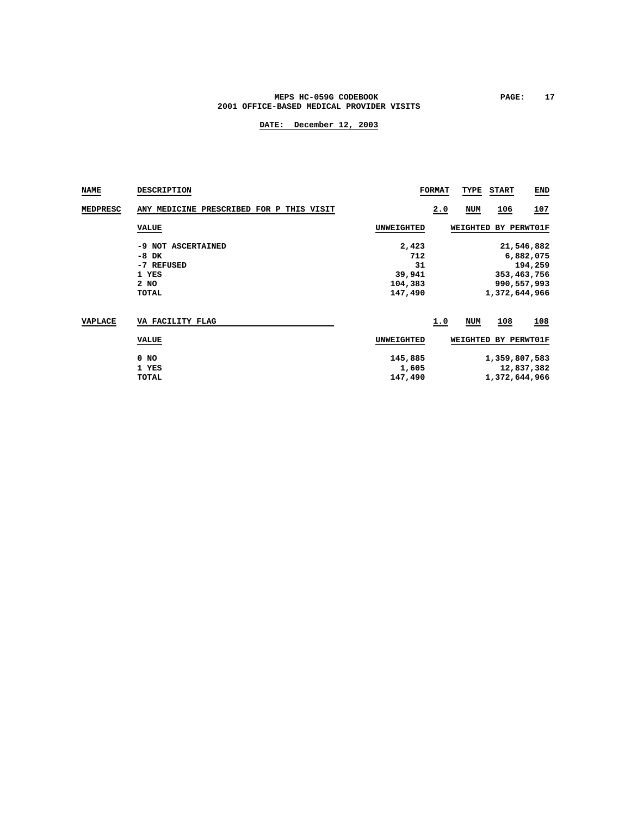### MEPS HC-059G CODEBOOK **PAGE:** 17  **2001 OFFICE-BASED MEDICAL PROVIDER VISITS**

| NAME     | <b>DESCRIPTION</b>                                                    |                                                    | <b>FORMAT</b> | TYPE                   | <b>START</b>                   | <b>END</b>                                                       |
|----------|-----------------------------------------------------------------------|----------------------------------------------------|---------------|------------------------|--------------------------------|------------------------------------------------------------------|
| MEDPRESC | ANY MEDICINE PRESCRIBED FOR P THIS VISIT                              |                                                    | 2.0           | NUM                    | 106                            | 107                                                              |
|          | <b>VALUE</b>                                                          | <b>UNWEIGHTED</b>                                  |               | WEIGHTED               |                                | BY PERWT01F                                                      |
|          | -9 NOT ASCERTAINED<br>$-8$ DK<br>-7 REFUSED<br>1 YES<br>2 NO<br>TOTAL | 2,423<br>712<br>31<br>39,941<br>104,383<br>147,490 |               |                        | 1,372,644,966                  | 21,546,882<br>6,882,075<br>194,259<br>353,463,756<br>990,557,993 |
| VAPLACE  | VA FACILITY FLAG<br><b>VALUE</b>                                      | <b>UNWEIGHTED</b>                                  | 1.0           | <b>NUM</b><br>WEIGHTED | 108                            | 108<br>BY PERWT01F                                               |
|          | $0$ NO<br>1 YES<br>TOTAL                                              | 145,885<br>1,605<br>147,490                        |               |                        | 1,359,807,583<br>1,372,644,966 | 12,837,382                                                       |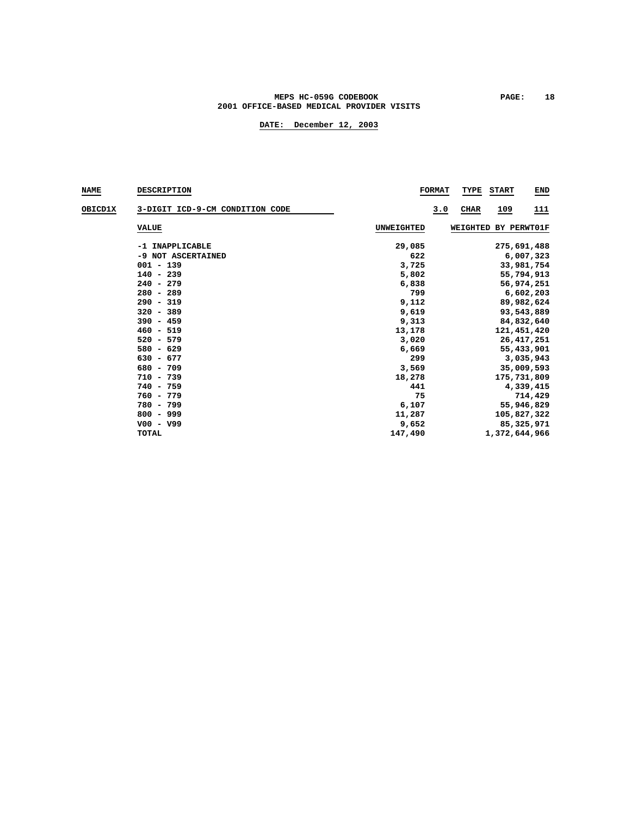### MEPS HC-059G CODEBOOK **PAGE:** 18  **2001 OFFICE-BASED MEDICAL PROVIDER VISITS**

| <b>NAME</b> | <b>DESCRIPTION</b>              |            | <b>FORMAT</b><br>TYPE<br><b>START</b><br><b>END</b> |
|-------------|---------------------------------|------------|-----------------------------------------------------|
| OBICD1X     | 3-DIGIT ICD-9-CM CONDITION CODE |            | 3.0<br>CHAR<br><u> 109</u><br><u> 111</u>           |
|             | <b>VALUE</b>                    | UNWEIGHTED | WEIGHTED BY PERWT01F                                |
|             | -1 INAPPLICABLE                 | 29,085     | 275,691,488                                         |
|             | -9 NOT ASCERTAINED              | 622        | 6,007,323                                           |
|             | $001 - 139$                     | 3,725      | 33,981,754                                          |
|             | $140 - 239$                     | 5,802      | 55,794,913                                          |
|             | $240 - 279$                     | 6,838      | 56,974,251                                          |
|             | $280 - 289$                     | 799        | 6,602,203                                           |
|             | $290 - 319$                     | 9,112      | 89,982,624                                          |
|             | $320 - 389$                     | 9,619      | 93,543,889                                          |
|             | $390 - 459$                     | 9,313      | 84,832,640                                          |
|             | $460 - 519$                     | 13,178     | 121,451,420                                         |
|             | $520 - 579$                     | 3,020      | 26, 417, 251                                        |
|             | $580 - 629$                     | 6,669      | 55,433,901                                          |
|             | $630 - 677$                     | 299        | 3,035,943                                           |
|             | $680 - 709$                     | 3,569      | 35,009,593                                          |
|             | $710 - 739$                     | 18,278     | 175,731,809                                         |
|             | $740 - 759$                     | 441        | 4,339,415                                           |
|             | $760 - 779$                     | 75         | 714,429                                             |
|             | 780 - 799                       | 6,107      | 55,946,829                                          |
|             | $800 - 999$                     | 11,287     | 105,827,322                                         |
|             | $V00 - V99$                     | 9,652      | 85,325,971                                          |
|             | TOTAL                           | 147,490    | 1,372,644,966                                       |
|             |                                 |            |                                                     |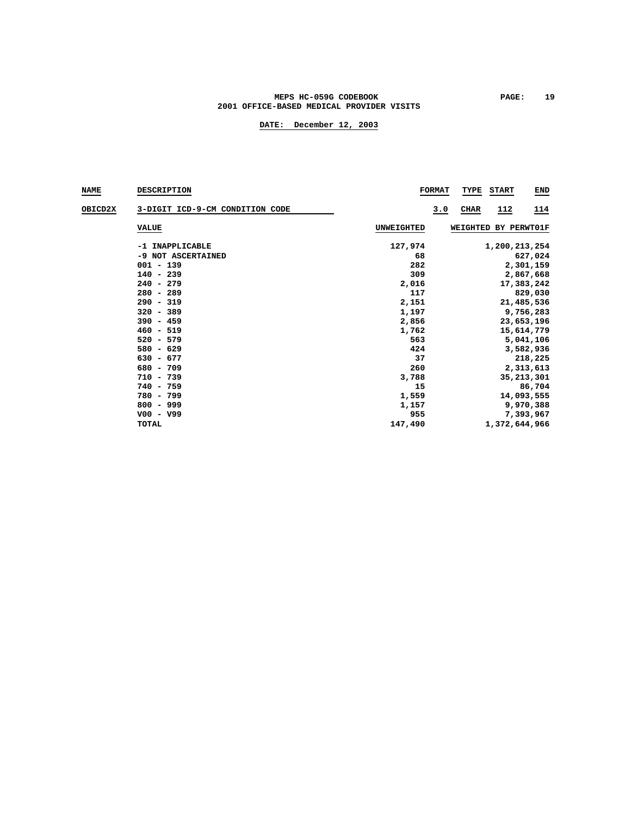### MEPS HC-059G CODEBOOK PAGE: 19  **2001 OFFICE-BASED MEDICAL PROVIDER VISITS**

| <b>NAME</b>    | <b>DESCRIPTION</b>              |            | <b>FORMAT</b><br>TYPE<br><b>START</b><br><b>END</b> |
|----------------|---------------------------------|------------|-----------------------------------------------------|
| <b>OBICD2X</b> | 3-DIGIT ICD-9-CM CONDITION CODE |            | CHAR<br>112<br>3.0<br>114                           |
|                | <b>VALUE</b>                    | UNWEIGHTED | WEIGHTED BY PERWT01F                                |
|                | -1 INAPPLICABLE                 | 127,974    | 1,200,213,254                                       |
|                | -9 NOT ASCERTAINED              | 68         | 627,024                                             |
|                | $001 - 139$                     | 282        | 2,301,159                                           |
|                | $140 - 239$                     | 309        | 2,867,668                                           |
|                | $240 - 279$                     | 2,016      | 17,383,242                                          |
|                | $280 - 289$                     | 117        | 829,030                                             |
|                | $290 - 319$                     | 2,151      | 21,485,536                                          |
|                | $320 - 389$                     | 1,197      | 9,756,283                                           |
|                | $390 - 459$                     | 2,856      | 23,653,196                                          |
|                | $460 - 519$                     | 1,762      | 15,614,779                                          |
|                | $520 - 579$                     | 563        | 5,041,106                                           |
|                | $580 - 629$                     | 424        | 3,582,936                                           |
|                | $630 - 677$                     | 37         | 218,225                                             |
|                | $680 - 709$                     | 260        | 2,313,613                                           |
|                | $710 - 739$                     | 3,788      | 35, 213, 301                                        |
|                | $740 - 759$                     | 15         | 86,704                                              |
|                | 780 - 799                       | 1,559      | 14,093,555                                          |
|                | $800 - 999$                     | 1,157      | 9,970,388                                           |
|                | $V00 - V99$                     | 955        | 7,393,967                                           |
|                | TOTAL                           | 147,490    | 1,372,644,966                                       |
|                |                                 |            |                                                     |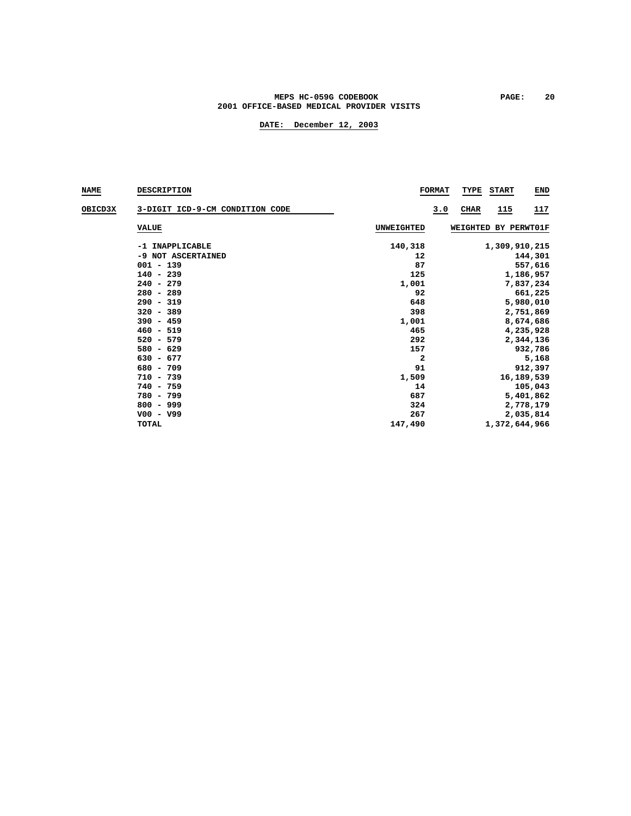### **MEPS HC-059G CODEBOOK PAGE: 20 2001 OFFICE-BASED MEDICAL PROVIDER VISITS**

| <b>NAME</b>    | <b>DESCRIPTION</b>              |            | <b>FORMAT</b><br>TYPE<br><b>START</b><br><b>END</b> |
|----------------|---------------------------------|------------|-----------------------------------------------------|
| <b>OBICD3X</b> | 3-DIGIT ICD-9-CM CONDITION CODE |            | CHAR<br>115<br>117<br>3.0                           |
|                | <b>VALUE</b>                    | UNWEIGHTED | WEIGHTED BY PERWT01F                                |
|                | -1 INAPPLICABLE                 | 140,318    | 1,309,910,215                                       |
|                | -9 NOT ASCERTAINED              | 12         | 144,301                                             |
|                | $001 - 139$                     | 87         | 557,616                                             |
|                | $140 - 239$                     | 125        | 1,186,957                                           |
|                | $240 - 279$                     | 1,001      | 7,837,234                                           |
|                | $280 - 289$                     | 92         | 661,225                                             |
|                | $290 - 319$                     | 648        | 5,980,010                                           |
|                | $320 - 389$                     | 398        | 2,751,869                                           |
|                | $390 - 459$                     | 1,001      | 8,674,686                                           |
|                | $460 - 519$                     | 465        | 4,235,928                                           |
|                | $520 - 579$                     | 292        | 2,344,136                                           |
|                | $580 - 629$                     | 157        | 932,786                                             |
|                | $630 - 677$                     | 2          | 5,168                                               |
|                | $680 - 709$                     | 91         | 912,397                                             |
|                | $710 - 739$                     | 1,509      | 16,189,539                                          |
|                | $740 - 759$                     | 14         | 105,043                                             |
|                | 780 - 799                       | 687        | 5,401,862                                           |
|                | $800 - 999$                     | 324        | 2,778,179                                           |
|                | $V00 - V99$                     | 267        | 2,035,814                                           |
|                | TOTAL                           | 147,490    | 1,372,644,966                                       |
|                |                                 |            |                                                     |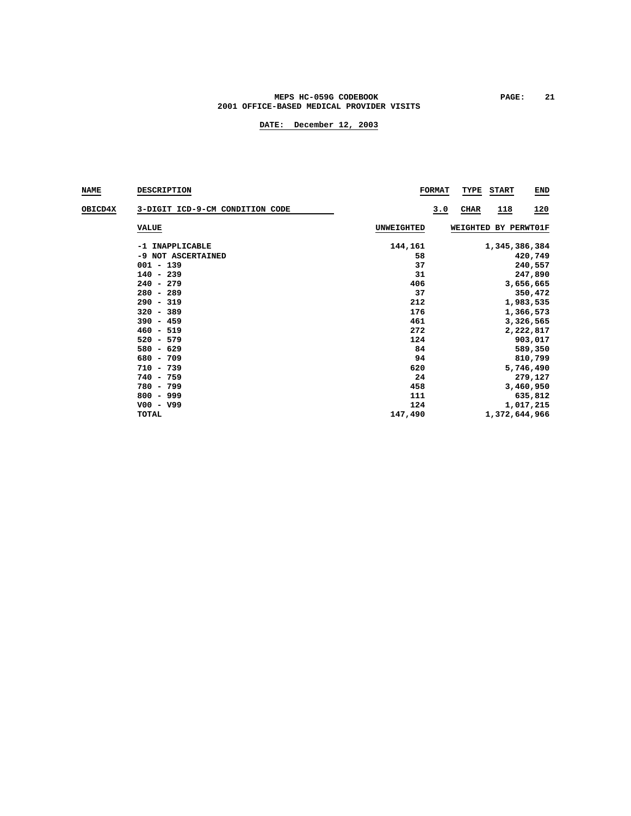### MEPS HC-059G CODEBOOK **PAGE:** 21  **2001 OFFICE-BASED MEDICAL PROVIDER VISITS**

| <b>NAME</b>    | <b>DESCRIPTION</b>              |                   | <b>FORMAT</b><br>TYPE<br><b>START</b><br><b>END</b> |
|----------------|---------------------------------|-------------------|-----------------------------------------------------|
| <b>OBICD4X</b> | 3-DIGIT ICD-9-CM CONDITION CODE |                   | <u> 118</u><br>120<br>3.0<br>CHAR                   |
|                | <b>VALUE</b>                    | <b>UNWEIGHTED</b> | WEIGHTED BY PERWT01F                                |
|                | -1 INAPPLICABLE                 | 144,161           | 1,345,386,384                                       |
|                | -9 NOT ASCERTAINED              | 58                | 420,749                                             |
|                | $001 - 139$                     | 37                | 240,557                                             |
|                | $140 - 239$                     | 31                | 247,890                                             |
|                | $240 - 279$                     | 406               | 3,656,665                                           |
|                | $280 - 289$                     | 37                | 350,472                                             |
|                | $290 - 319$                     | 212               | 1,983,535                                           |
|                | $320 - 389$                     | 176               | 1,366,573                                           |
|                | $390 - 459$                     | 461               | 3,326,565                                           |
|                | $460 - 519$                     | 272               | 2,222,817                                           |
|                | $520 - 579$                     | 124               | 903,017                                             |
|                | $580 - 629$                     | 84                | 589,350                                             |
|                | $680 - 709$                     | 94                | 810,799                                             |
|                | $710 - 739$                     | 620               | 5,746,490                                           |
|                | $740 - 759$                     | 24                | 279,127                                             |
|                | 780 - 799                       | 458               | 3,460,950                                           |
|                | $800 - 999$                     | 111               | 635,812                                             |
|                | $V00 - V99$                     | 124               | 1,017,215                                           |
|                | TOTAL                           | 147,490           | 1,372,644,966                                       |
|                |                                 |                   |                                                     |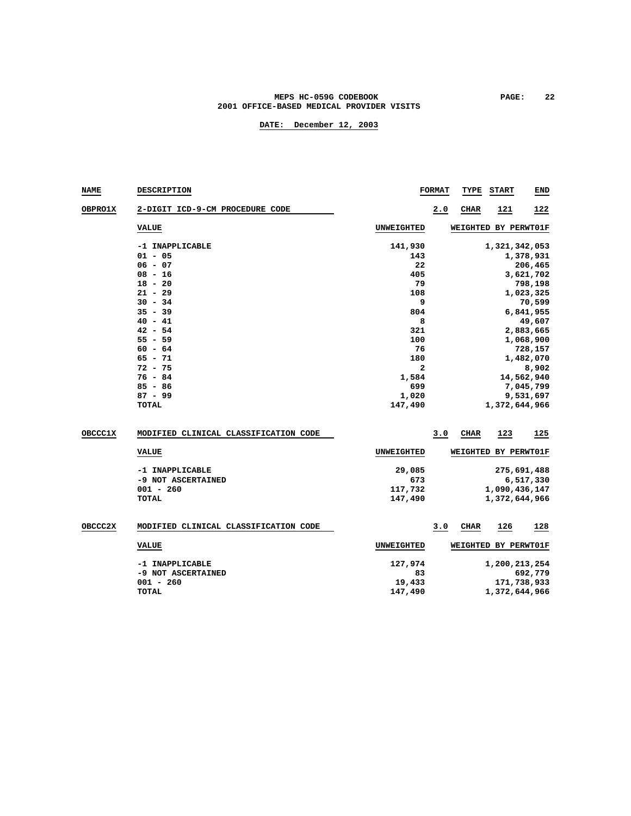#### **MEPS HC-059G CODEBOOK PAGE: 22 2001 OFFICE-BASED MEDICAL PROVIDER VISITS**

| <b>NAME</b>    | <b>DESCRIPTION</b>                    |                   | <b>FORMAT</b> | TYPE        | <b>START</b>         | END        |  |  |  |
|----------------|---------------------------------------|-------------------|---------------|-------------|----------------------|------------|--|--|--|
| <b>OBPRO1X</b> | 2-DIGIT ICD-9-CM PROCEDURE CODE       |                   | 2.0           | <b>CHAR</b> | 121                  | 122        |  |  |  |
|                | <b>VALUE</b>                          | UNWEIGHTED        |               |             | WEIGHTED BY PERWT01F |            |  |  |  |
|                | -1 INAPPLICABLE                       | 141,930           |               |             | 1,321,342,053        |            |  |  |  |
|                | $01 - 05$                             | 143               |               |             |                      | 1,378,931  |  |  |  |
|                | $06 - 07$                             | 22                |               |             |                      | 206,465    |  |  |  |
|                | $08 - 16$                             | 405               |               |             |                      | 3,621,702  |  |  |  |
|                | $18 - 20$                             | 79                |               |             |                      | 798,198    |  |  |  |
|                | $21 - 29$                             | 108               |               |             |                      | 1,023,325  |  |  |  |
|                | $30 - 34$                             | 9                 |               |             |                      | 70,599     |  |  |  |
|                | $35 - 39$                             | 804               |               |             |                      | 6,841,955  |  |  |  |
|                | $40 - 41$                             | 8                 |               |             |                      | 49,607     |  |  |  |
|                | $42 - 54$                             | 321               |               |             |                      | 2,883,665  |  |  |  |
|                | $55 - 59$                             | 100               |               |             |                      | 1,068,900  |  |  |  |
|                | $60 - 64$                             | 76                |               | 728,157     |                      |            |  |  |  |
|                | $65 - 71$                             | 180               |               | 1,482,070   |                      |            |  |  |  |
|                | $72 - 75$                             | 2                 |               | 8,902       |                      |            |  |  |  |
|                | $76 - 84$                             | 1,584             |               |             |                      | 14,562,940 |  |  |  |
|                | $85 - 86$                             | 699               |               |             |                      | 7,045,799  |  |  |  |
|                | $87 - 99$                             | 1,020             |               |             |                      | 9,531,697  |  |  |  |
|                | <b>TOTAL</b>                          | 147,490           |               |             | 1,372,644,966        |            |  |  |  |
| <b>OBCCC1X</b> | MODIFIED CLINICAL CLASSIFICATION CODE |                   | 3.0           | <b>CHAR</b> | 123                  | 125        |  |  |  |
|                |                                       |                   |               |             |                      |            |  |  |  |
|                | <b>VALUE</b>                          | UNWEIGHTED        |               |             | WEIGHTED BY PERWT01F |            |  |  |  |
|                | -1 INAPPLICABLE                       | 29,085            |               |             | 275,691,488          |            |  |  |  |
|                | -9 NOT ASCERTAINED                    | 673               |               |             |                      | 6,517,330  |  |  |  |
|                | $001 - 260$                           | 117,732           |               |             | 1,090,436,147        |            |  |  |  |
|                | <b>TOTAL</b>                          | 147,490           |               |             | 1,372,644,966        |            |  |  |  |
| <b>OBCCC2X</b> | MODIFIED CLINICAL CLASSIFICATION CODE |                   | 3.0           | <b>CHAR</b> | 126                  | 128        |  |  |  |
|                |                                       |                   |               |             |                      |            |  |  |  |
|                | <b>VALUE</b>                          | <b>UNWEIGHTED</b> |               |             | WEIGHTED BY PERWT01F |            |  |  |  |
|                | -1 INAPPLICABLE                       | 127,974           |               |             | 1,200,213,254        |            |  |  |  |
|                | -9 NOT ASCERTAINED                    | 83                |               |             |                      | 692,779    |  |  |  |
|                | $001 - 260$                           | 19,433            |               |             | 171,738,933          |            |  |  |  |
|                | <b>TOTAL</b>                          | 147,490           |               |             | 1,372,644,966        |            |  |  |  |
|                |                                       |                   |               |             |                      |            |  |  |  |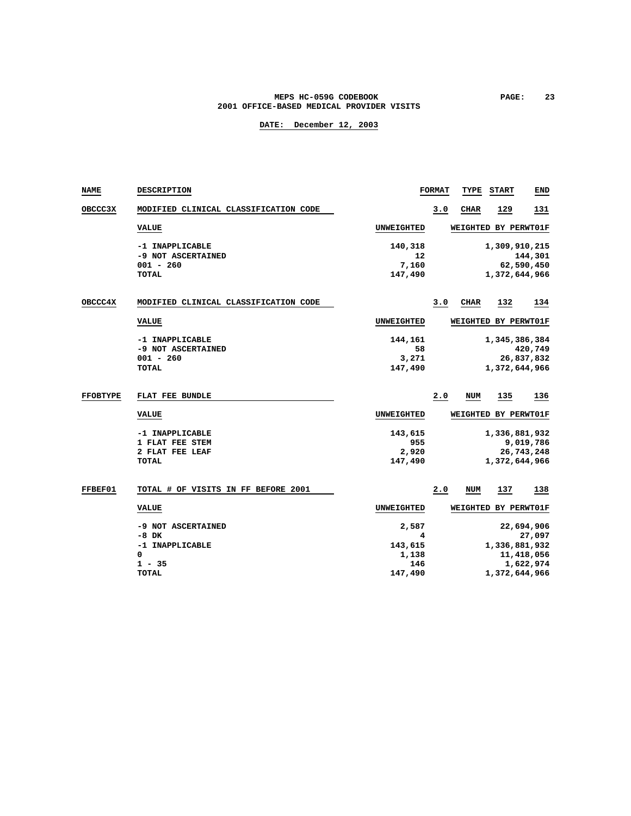#### **MEPS HC-059G CODEBOOK PAGE: 23 2001 OFFICE-BASED MEDICAL PROVIDER VISITS**

| NAME            | DESCRIPTION                           |                   | <b>FORMAT</b> | TYPE            | <b>START</b>         | END                   |
|-----------------|---------------------------------------|-------------------|---------------|-----------------|----------------------|-----------------------|
| OBCCC3X         | MODIFIED CLINICAL CLASSIFICATION CODE |                   | 3.0           | <b>CHAR</b>     | 129                  | 131                   |
|                 | <b>VALUE</b>                          | <b>UNWEIGHTED</b> |               |                 | WEIGHTED BY PERWT01F |                       |
|                 | -1 INAPPLICABLE                       | 140,318           |               |                 | 1,309,910,215        |                       |
|                 | -9 NOT ASCERTAINED<br>$001 - 260$     | 12<br>7,160       |               |                 |                      | 144,301<br>62,590,450 |
|                 | <b>TOTAL</b>                          | 147,490           |               |                 | 1,372,644,966        |                       |
|                 |                                       |                   |               |                 |                      |                       |
| OBCCC4X         | MODIFIED CLINICAL CLASSIFICATION CODE |                   | 3.0           | CIIAR           | 132                  | 134                   |
|                 | <b>VALUE</b>                          | <b>UNWEIGHTED</b> |               |                 | WEIGHTED BY PERWT01F |                       |
|                 | -1 INAPPLICABLE                       | 144,161           |               |                 | 1,345,386,384        |                       |
|                 | -9 NOT ASCERTAINED                    | 58                |               |                 |                      | 420,749               |
|                 | $001 - 260$                           | 3,271             |               |                 |                      | 26,837,832            |
|                 | <b>TOTAL</b>                          | 147,490           |               |                 | 1,372,644,966        |                       |
|                 |                                       |                   |               |                 |                      |                       |
| <b>FFOBTYPE</b> | FLAT FEE BUNDLE                       |                   | 2.0           | NUM             | 135                  | 136                   |
|                 | <b>VALUE</b>                          | <b>UNWEIGHTED</b> |               |                 | WEIGHTED BY PERWT01F |                       |
|                 | -1 INAPPLICABLE                       | 143,615           |               |                 | 1,336,881,932        |                       |
|                 | 1 FLAT FEE STEM                       | 955               |               |                 |                      | 9,019,786             |
|                 | 2 FLAT FEE LEAF                       | 2,920             |               |                 |                      | 26,743,248            |
|                 | TOTAL                                 | 147,490           |               |                 | 1,372,644,966        |                       |
|                 |                                       |                   |               |                 |                      |                       |
| FFBEF01         | TOTAL # OF VISITS IN FF BEFORE 2001   |                   | 2.0           | <b>NUM</b>      | 137                  | 138                   |
|                 | <b>VALUE</b>                          | UNWEIGHTED        |               | <b>WEIGHTED</b> |                      | BY PERWT01F           |
|                 | -9 NOT ASCERTAINED                    | 2,587             |               |                 |                      | 22,694,906            |
|                 | $-8$ DK                               | 4                 |               |                 |                      | 27,097                |
|                 | -1 INAPPLICABLE                       | 143,615           |               |                 | 1,336,881,932        |                       |
|                 | 0                                     | 1,138             |               |                 |                      | 11,418,056            |
|                 | $1 - 35$                              | 146               |               |                 |                      | 1,622,974             |
|                 | <b>TOTAL</b>                          | 147,490           |               |                 | 1,372,644,966        |                       |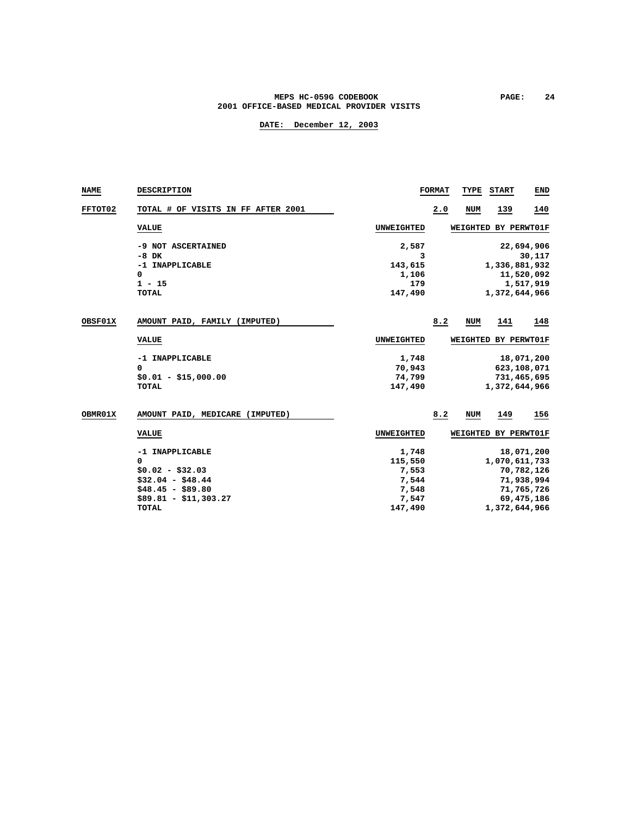### **MEPS HC-059G CODEBOOK PAGE:** 24  **2001 OFFICE-BASED MEDICAL PROVIDER VISITS**

| NAME           | <b>DESCRIPTION</b>                 |                   | <b>FORMAT</b> | TYPE       | <b>START</b>         | END          |
|----------------|------------------------------------|-------------------|---------------|------------|----------------------|--------------|
| <b>FFTOT02</b> | TOTAL # OF VISITS IN FF AFTER 2001 |                   | 2.0           | <b>NUM</b> | 139                  | 140          |
|                | <b>VALUE</b>                       | UNWEIGHTED        |               |            | WEIGHTED BY PERWT01F |              |
|                | -9 NOT ASCERTAINED                 | 2,587             |               |            |                      | 22,694,906   |
|                | $-8$ DK                            | 3                 |               |            |                      | 30,117       |
|                | -1 INAPPLICABLE                    | 143,615           |               |            | 1,336,881,932        |              |
|                | 0                                  | 1,106             |               |            |                      | 11,520,092   |
|                | $1 - 15$                           | 179               |               |            |                      | 1,517,919    |
|                | <b>TOTAL</b>                       | 147,490           |               |            | 1,372,644,966        |              |
| OBSF01X        | AMOUNT PAID, FAMILY (IMPUTED)      |                   | 8.2           | NUM        | 141                  | 148          |
|                | <b>VALUE</b>                       | UNWEIGHTED        |               |            | WEIGHTED BY PERWT01F |              |
|                | -1 INAPPLICABLE                    | 1,748             |               |            |                      | 18,071,200   |
|                | 0                                  | 70,943            |               |            | 623,108,071          |              |
|                | $$0.01 - $15,000.00$               | 74,799            |               |            | 731,465,695          |              |
|                | <b>TOTAL</b>                       | 147,490           |               |            | 1,372,644,966        |              |
| OBMR01X        | AMOUNT PAID, MEDICARE (IMPUTED)    |                   | 8.2           | NUM        | 149                  | 156          |
|                | <b>VALUE</b>                       | <b>UNWEIGHTED</b> |               |            | WEIGHTED BY PERWT01F |              |
|                | -1 INAPPLICABLE                    | 1,748             |               |            |                      | 18,071,200   |
|                | 0                                  | 115,550           |               |            | 1,070,611,733        |              |
|                | $$0.02 - $32.03$                   | 7,553             |               |            |                      | 70,782,126   |
|                | $$32.04 - $48.44$                  | 7,544             |               |            |                      | 71,938,994   |
|                | $$48.45 - $89.80$                  | 7,548             |               |            |                      | 71,765,726   |
|                | $$89.81 - $11,303.27$              | 7,547             |               |            |                      | 69, 475, 186 |
|                | <b>TOTAL</b>                       | 147,490           |               |            | 1,372,644,966        |              |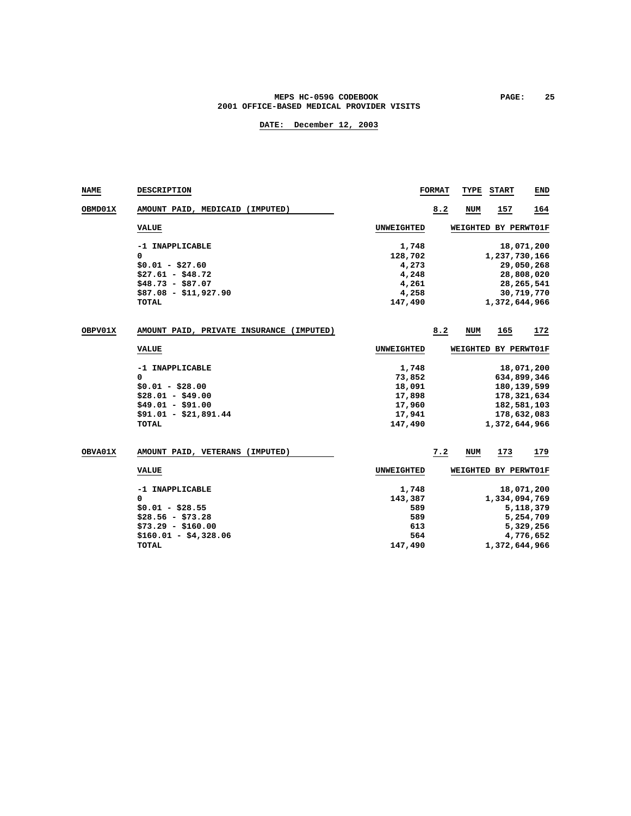### **MEPS HC-059G CODEBOOK PAGE:** 25  **2001 OFFICE-BASED MEDICAL PROVIDER VISITS**

| <b>NAME</b> | DESCRIPTION                              |            | <b>FORMAT</b> | TYPE       | <b>START</b>         | END          |
|-------------|------------------------------------------|------------|---------------|------------|----------------------|--------------|
| OBMD01X     | AMOUNT PAID, MEDICAID (IMPUTED)          |            | 8.2           | NUM        | 157                  | 164          |
|             | <b>VALUE</b>                             | UNWEIGHTED |               |            | WEIGHTED BY PERWT01F |              |
|             | -1 INAPPLICABLE                          | 1,748      |               |            |                      | 18,071,200   |
|             | 0                                        | 128,702    |               |            | 1,237,730,166        |              |
|             | $$0.01 - $27.60$                         | 4,273      |               |            |                      | 29,050,268   |
|             | $$27.61 - $48.72$                        | 4,248      |               |            |                      | 28,808,020   |
|             | $$48.73 - $87.07$                        | 4,261      |               |            |                      | 28, 265, 541 |
|             | $$87.08 - $11,927.90$                    | 4,258      |               |            |                      | 30,719,770   |
|             | <b>TOTAL</b>                             | 147,490    |               |            | 1,372,644,966        |              |
| OBPV01X     | AMOUNT PAID, PRIVATE INSURANCE (IMPUTED) |            | 8.2           | <b>NUM</b> | 165                  | 172          |
|             | <b>VALUE</b>                             | UNWEIGHTED |               |            | WEIGHTED BY PERWT01F |              |
|             | -1 INAPPLICABLE                          | 1,748      |               |            |                      | 18,071,200   |
|             | 0                                        | 73,852     |               |            | 634,899,346          |              |
|             | $$0.01 - $28.00$                         | 18,091     |               |            | 180, 139, 599        |              |
|             | $$28.01 - $49.00$                        | 17,898     |               |            | 178,321,634          |              |
|             | $$49.01 - $91.00$                        | 17,960     |               |            | 182,581,103          |              |
|             | $$91.01 - $21,891.44$                    | 17,941     |               |            | 178,632,083          |              |
|             | TOTAL                                    | 147,490    |               |            | 1,372,644,966        |              |
| OBVA01X     | AMOUNT PAID, VETERANS (IMPUTED)          |            | 7.2           | NUM        | 173                  | 179          |
|             | <b>VALUE</b>                             | UNWEIGHTED |               |            | WEIGHTED BY PERWT01F |              |
|             |                                          |            |               |            |                      |              |
|             | -1 INAPPLICABLE                          | 1,748      |               |            |                      | 18,071,200   |
|             | 0                                        | 143,387    |               |            | 1,334,094,769        |              |
|             | $$0.01 - $28.55$                         | 589        |               |            |                      | 5,118,379    |
|             | $$28.56 - $73.28$                        | 589        |               |            |                      | 5,254,709    |
|             | $$73.29 - $160.00$                       | 613        |               |            |                      | 5,329,256    |
|             | $$160.01 - $4,328.06$                    | 564        |               |            |                      | 4,776,652    |
|             | TOTAL                                    | 147,490    |               |            | 1,372,644,966        |              |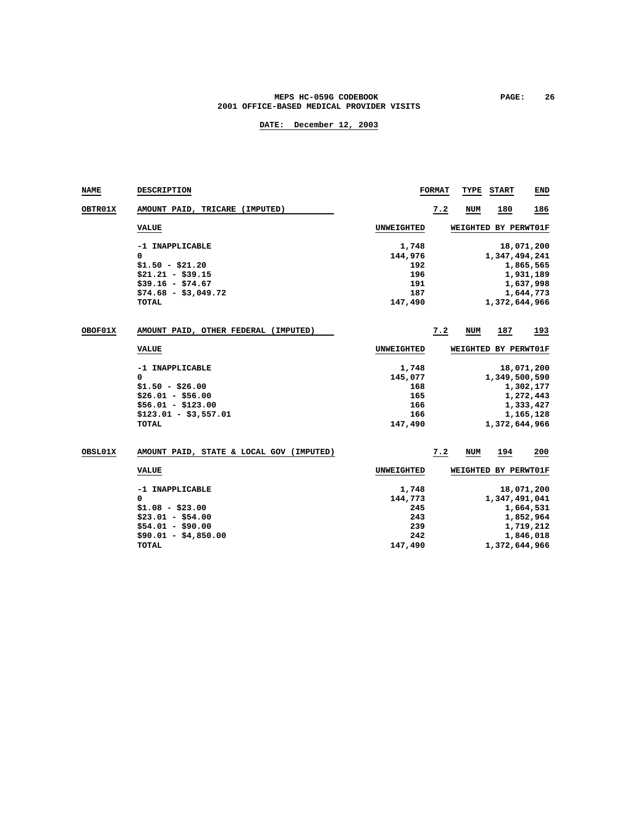#### **MEPS HC-059G CODEBOOK PAGE: 26 2001 OFFICE-BASED MEDICAL PROVIDER VISITS**

| <b>NAME</b>    | DESCRIPTION                              |                   | <b>FORMAT</b> | TYPE          | <b>START</b>         | <b>END</b> |  |  |  |
|----------------|------------------------------------------|-------------------|---------------|---------------|----------------------|------------|--|--|--|
| <b>OBTR01X</b> | AMOUNT PAID, TRICARE (IMPUTED)           |                   | 7.2           | <b>NUM</b>    | 180                  | 186        |  |  |  |
|                | <b>VALUE</b>                             | <b>UNWEIGHTED</b> |               | WEIGHTED      | BY PERWT01F          |            |  |  |  |
|                | -1 INAPPLICABLE                          | 1,748             |               |               |                      | 18,071,200 |  |  |  |
|                | 0                                        | 144,976           |               |               | 1,347,494,241        |            |  |  |  |
|                | $$1.50 - $21.20$                         | 192               |               |               |                      | 1,865,565  |  |  |  |
|                | $$21.21 - $39.15$                        | 196               |               |               |                      | 1,931,189  |  |  |  |
|                | $$39.16 - $74.67$                        | 191               |               |               |                      | 1,637,998  |  |  |  |
|                | $$74.68 - $3,049.72$                     | 187               |               |               |                      | 1,644,773  |  |  |  |
|                | TOTAL                                    | 147,490           |               |               | 1,372,644,966        |            |  |  |  |
| OBOF01X        | AMOUNT PAID, OTHER FEDERAL (IMPUTED)     |                   | 7.2           | <b>NUM</b>    | 187                  | 193        |  |  |  |
|                | <b>VALUE</b>                             | <b>UNWEIGHTED</b> |               |               | WEIGHTED BY PERWT01F |            |  |  |  |
|                | -1 INAPPLICABLE                          | 1,748             |               |               |                      | 18,071,200 |  |  |  |
|                | 0                                        | 145,077           |               |               | 1,349,500,590        |            |  |  |  |
|                | $$1.50 - $26.00$                         | 168               |               |               |                      | 1,302,177  |  |  |  |
|                | $$26.01 - $56.00$                        | 165               |               |               |                      | 1,272,443  |  |  |  |
|                | $$56.01 - $123.00$                       | 166               |               |               |                      | 1,333,427  |  |  |  |
|                | $$123.01 - $3,557.01$                    | 166               |               |               |                      | 1,165,128  |  |  |  |
|                | <b>TOTAL</b>                             | 147,490           |               |               | 1,372,644,966        |            |  |  |  |
| OBSL01X        | AMOUNT PAID, STATE & LOCAL GOV (IMPUTED) |                   | 7.2           | <b>NUM</b>    | 194                  | 200        |  |  |  |
|                | <b>VALUE</b>                             | <b>UNWEIGHTED</b> |               |               | WEIGHTED BY PERWT01F |            |  |  |  |
|                | -1 INAPPLICABLE                          | 1,748             |               |               |                      | 18,071,200 |  |  |  |
|                | 0                                        | 144,773           |               |               | 1,347,491,041        |            |  |  |  |
|                | $$1.08 - $23.00$                         | 245               |               |               |                      | 1,664,531  |  |  |  |
|                | $$23.01 - $54.00$                        | 243               |               |               |                      | 1,852,964  |  |  |  |
|                | $$54.01 - $90.00$                        | 239               |               |               |                      | 1,719,212  |  |  |  |
|                | $$90.01 - $4,850.00$                     | 242               |               |               |                      | 1,846,018  |  |  |  |
|                | TOTAL                                    | 147,490           |               | 1,372,644,966 |                      |            |  |  |  |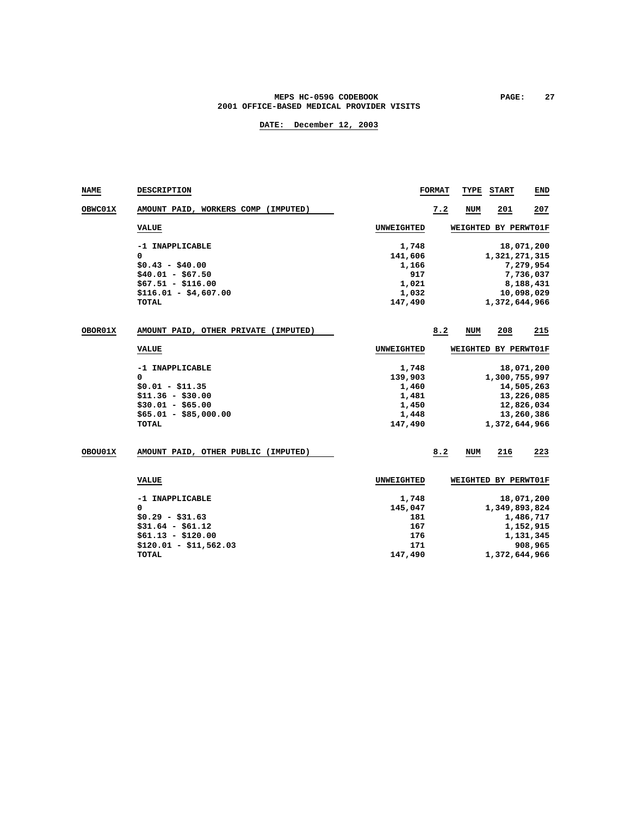### **MEPS HC-059G CODEBOOK PAGE:** 27  **2001 OFFICE-BASED MEDICAL PROVIDER VISITS**

| <b>NAME</b> | DESCRIPTION                          |                   | <b>FORMAT</b> | TYPE       | START                | <b>END</b> |
|-------------|--------------------------------------|-------------------|---------------|------------|----------------------|------------|
| OBWC01X     | AMOUNT PAID, WORKERS COMP (IMPUTED)  |                   | 7.2           | <b>NUM</b> | 201                  | 207        |
|             | <b>VALUE</b>                         | UNWEIGHTED        |               |            | WEIGHTED BY PERWT01F |            |
|             | -1 INAPPLICABLE                      | 1,748             |               |            |                      | 18,071,200 |
|             | 0                                    | 141,606           |               |            | 1,321,271,315        |            |
|             | $$0.43 - $40.00$                     | 1,166             |               |            |                      | 7,279,954  |
|             | $$40.01 - $67.50$                    | 917               |               |            |                      | 7,736,037  |
|             | $$67.51 - $116.00$                   | 1,021             |               |            |                      | 8,188,431  |
|             | $$116.01 - $4,607.00$                | 1,032             |               |            |                      | 10,098,029 |
|             | <b>TOTAL</b>                         | 147,490           |               |            | 1,372,644,966        |            |
| OBOR01X     | AMOUNT PAID, OTHER PRIVATE (IMPUTED) |                   | 8.2           | NUM        | 208                  | 215        |
|             | <b>VALUE</b>                         | <b>UNWEIGHTED</b> |               |            | WEIGHTED BY PERWT01F |            |
|             | -1 INAPPLICABLE                      | 1,748             |               |            |                      | 18,071,200 |
|             | 0                                    | 139,903           |               |            | 1,300,755,997        |            |
|             | $$0.01 - $11.35$                     | 1,460             |               |            |                      | 14,505,263 |
|             | $$11.36 - $30.00$                    | 1,481             |               |            |                      | 13,226,085 |
|             | $$30.01 - $65.00$                    | 1,450             |               |            |                      | 12,826,034 |
|             | $$65.01 - $85,000.00$                | 1,448             |               |            |                      | 13,260,386 |
|             | <b>TOTAL</b>                         | 147,490           |               |            | 1,372,644,966        |            |
| OBOU01X     | AMOUNT PAID, OTHER PUBLIC (IMPUTED)  |                   | 8.2           | <b>NUM</b> | 216                  | 223        |
|             | <b>VALUE</b>                         | UNWEIGHTED        |               |            | WEIGHTED BY PERWT01F |            |
|             | -1 INAPPLICABLE                      | 1,748             |               |            |                      | 18,071,200 |
|             | 0                                    | 145,047           |               |            | 1,349,893,824        |            |
|             | $$0.29 - $31.63$                     | 181               |               |            |                      | 1,486,717  |
|             | $$31.64 - $61.12$                    | 167               |               |            |                      | 1,152,915  |
|             | $$61.13 - $120.00$                   | 176               |               |            |                      | 1,131,345  |
|             | $$120.01 - $11,562.03$               | 171               |               |            |                      | 908,965    |
|             | TOTAL                                | 147,490           |               |            | 1,372,644,966        |            |
|             |                                      |                   |               |            |                      |            |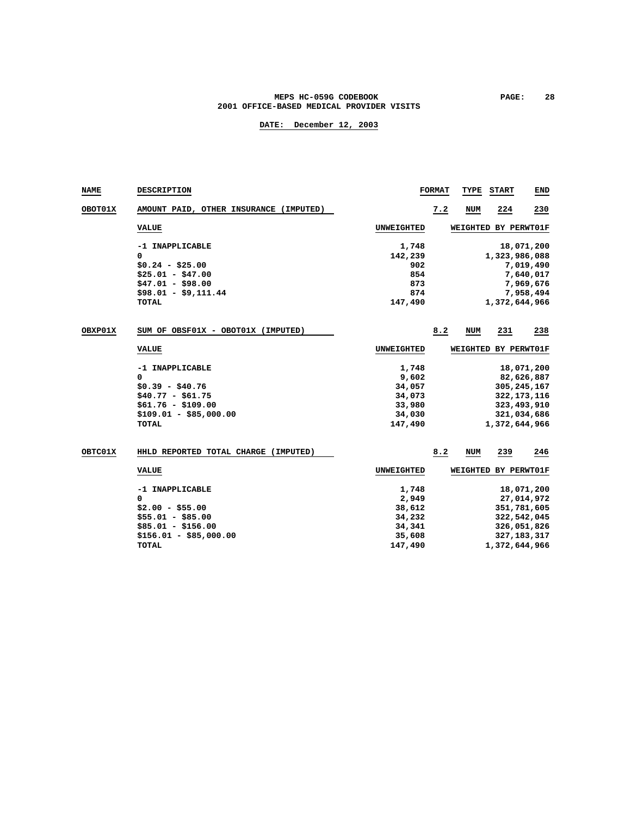### **MEPS HC-059G CODEBOOK PAGE:** 28  **2001 OFFICE-BASED MEDICAL PROVIDER VISITS**

| <b>NAME</b> | DESCRIPTION                            |                   | <b>FORMAT</b> | TYPE            | <b>START</b>         | END           |
|-------------|----------------------------------------|-------------------|---------------|-----------------|----------------------|---------------|
| OBOT01X     | AMOUNT PAID, OTHER INSURANCE (IMPUTED) |                   | 7.2           | <b>NUM</b>      | 224                  | 230           |
|             | <b>VALUE</b>                           | <b>UNWEIGHTED</b> |               |                 | WEIGHTED BY PERWT01F |               |
|             | -1 INAPPLICABLE                        | 1,748             |               |                 |                      | 18,071,200    |
|             | 0                                      | 142,239           |               |                 | 1,323,986,088        |               |
|             | $$0.24 - $25.00$                       | 902               |               |                 |                      | 7,019,490     |
|             | $$25.01 - $47.00$                      | 854               |               |                 |                      | 7,640,017     |
|             | $$47.01 - $98.00$                      | 873               |               |                 |                      | 7,969,676     |
|             | $$98.01 - $9,111.44$                   | 874               |               |                 |                      | 7,958,494     |
|             | TOTAL                                  | 147,490           |               |                 | 1,372,644,966        |               |
| OBXP01X     | SUM OF OBSF01X - OBOT01X (IMPUTED)     |                   | 8.2           | <b>NUM</b>      | 231                  | 238           |
|             | <b>VALUE</b>                           | <b>UNWEIGHTED</b> |               |                 | WEIGHTED BY PERWT01F |               |
|             | -1 INAPPLICABLE                        | 1,748             |               |                 |                      | 18,071,200    |
|             | 0                                      | 9,602             |               |                 |                      | 82,626,887    |
|             | $$0.39 - $40.76$                       | 34,057            |               |                 |                      | 305, 245, 167 |
|             | $$40.77 - $61.75$                      | 34,073            |               |                 |                      | 322, 173, 116 |
|             | $$61.76 - $109.00$                     | 33,980            |               |                 |                      | 323,493,910   |
|             | $$109.01 - $85,000.00$                 | 34,030            |               |                 |                      | 321,034,686   |
|             | <b>TOTAL</b>                           | 147,490           |               |                 | 1,372,644,966        |               |
| OBTC01X     | HHLD REPORTED TOTAL CHARGE (IMPUTED)   |                   | 8.2           | NUM             | 239                  | 246           |
|             | <b>VALUE</b>                           | <b>UNWEIGHTED</b> |               | <b>WEIGHTED</b> |                      | BY PERWT01F   |
|             | -1 INAPPLICABLE                        | 1,748             |               |                 |                      | 18,071,200    |
|             | 0                                      | 2,949             |               |                 |                      | 27,014,972    |
|             | $$2.00 - $55.00$                       | 38,612            |               |                 |                      | 351,781,605   |
|             | $$55.01 - $85.00$                      | 34,232            |               |                 |                      | 322,542,045   |
|             | $$85.01 - $156.00$                     | 34,341            |               |                 |                      | 326,051,826   |
|             | $$156.01 - $85,000.00$                 | 35,608            |               |                 |                      | 327, 183, 317 |
|             | TOTAL                                  | 147,490           |               |                 | 1,372,644,966        |               |
|             |                                        |                   |               |                 |                      |               |